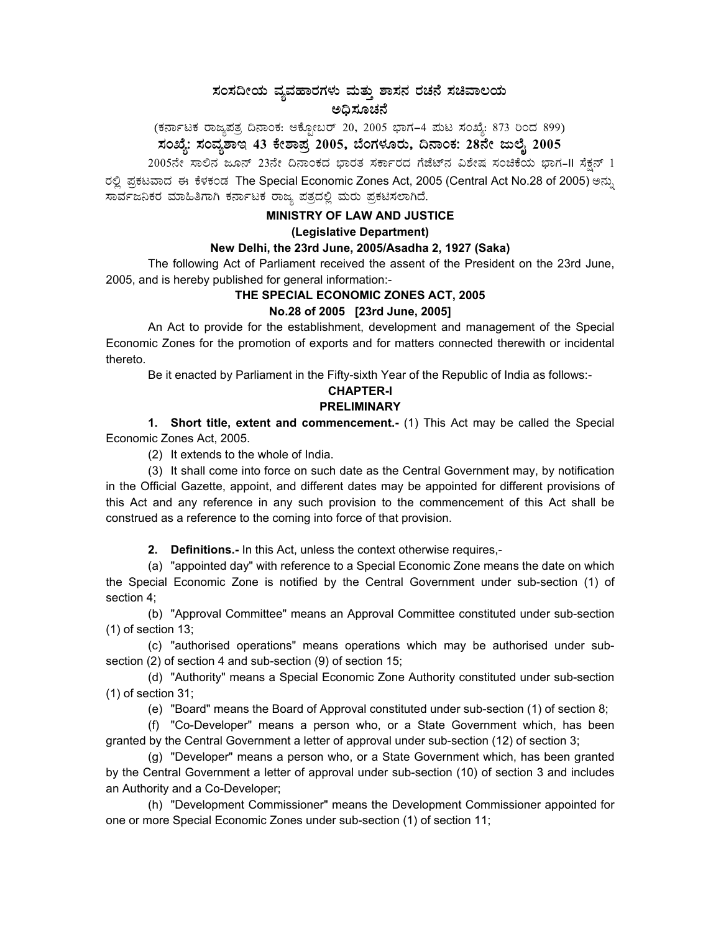# ಸಂಸದೀಯ ವ್ಯವಹಾರಗಳು ಮತ್ತು ಶಾಸನ ರಚನೆ ಸಚಿವಾಲಯ ಅಧಿಸೂಚನೆ

(ಕರ್ನಾಟಕ ರಾಜ್ಯಪತ್ರ ದಿನಾಂಕ: ಅಕ್ಟೋಬರ್ 20, 2005 ಭಾಗ–4 ಮಟ ಸಂಖ್ಯೆ: 873 ರಿಂದ 899) ಸಂಖ್ಯೆ: ಸಂವ್ಯಶಾಇ 43 ಕೇಶಾಪ್ರ 2005, ಬೆಂಗಳೂರು, ದಿನಾಂಕ: 28ನೇ ಜುಲೈ 2005 <sub>-</sub>

 $2005$ ನೇ ಸಾಲಿನ ಜೂನ್ 23ನೇ ದಿನಾಂಕದ ಭಾರತ ಸರ್ಕಾರದ ಗೆಜೆಟ್ನ ವಿಶೇಷ ಸಂಚಿಕೆಯ ಭಾಗ–II ಸೆಕ್ಷನ್ 1 ರಲ್ಲಿ ಪ್ರಕಟವಾದ ಈ ಕೆಳಕಂಡ The Special Economic Zones Act, 2005 (Central Act No.28 of 2005) ಅನ್ನು ಸಾರ್ವಜನಿಕರ ಮಾಹಿತಿಗಾಗಿ ಕರ್ನಾಟಕ ರಾಜ್ಯ ಪತ್ರದಲ್ಲಿ ಮರು ಪ್ರಕಟಿಸಲಾಗಿದೆ.

## **MINISTRY OF LAW AND JUSTICE**

#### **(Legislative Department)**

#### **New Delhi, the 23rd June, 2005/Asadha 2, 1927 (Saka)**

The following Act of Parliament received the assent of the President on the 23rd June, 2005, and is hereby published for general information:-

## **THE SPECIAL ECONOMIC ZONES ACT, 2005**

#### **No.28 of 2005 [23rd June, 2005]**

An Act to provide for the establishment, development and management of the Special Economic Zones for the promotion of exports and for matters connected therewith or incidental thereto.

Be it enacted by Parliament in the Fifty-sixth Year of the Republic of India as follows:-

# **CHAPTER-I**

# **PRELIMINARY**

**1. Short title, extent and commencement.-** (1) This Act may be called the Special Economic Zones Act, 2005.

(2) It extends to the whole of India.

(3) It shall come into force on such date as the Central Government may, by notification in the Official Gazette, appoint, and different dates may be appointed for different provisions of this Act and any reference in any such provision to the commencement of this Act shall be construed as a reference to the coming into force of that provision.

**2. Definitions.-** In this Act, unless the context otherwise requires,-

(a) "appointed day" with reference to a Special Economic Zone means the date on which the Special Economic Zone is notified by the Central Government under sub-section (1) of section 4;

(b) "Approval Committee" means an Approval Committee constituted under sub-section (1) of section 13;

(c) "authorised operations" means operations which may be authorised under subsection (2) of section 4 and sub-section (9) of section 15;

(d) "Authority" means a Special Economic Zone Authority constituted under sub-section (1) of section 31;

(e) "Board" means the Board of Approval constituted under sub-section (1) of section 8;

(f) "Co-Developer" means a person who, or a State Government which, has been granted by the Central Government a letter of approval under sub-section (12) of section 3;

(g) "Developer" means a person who, or a State Government which, has been granted by the Central Government a letter of approval under sub-section (10) of section 3 and includes an Authority and a Co-Developer;

(h) "Development Commissioner" means the Development Commissioner appointed for one or more Special Economic Zones under sub-section (1) of section 11;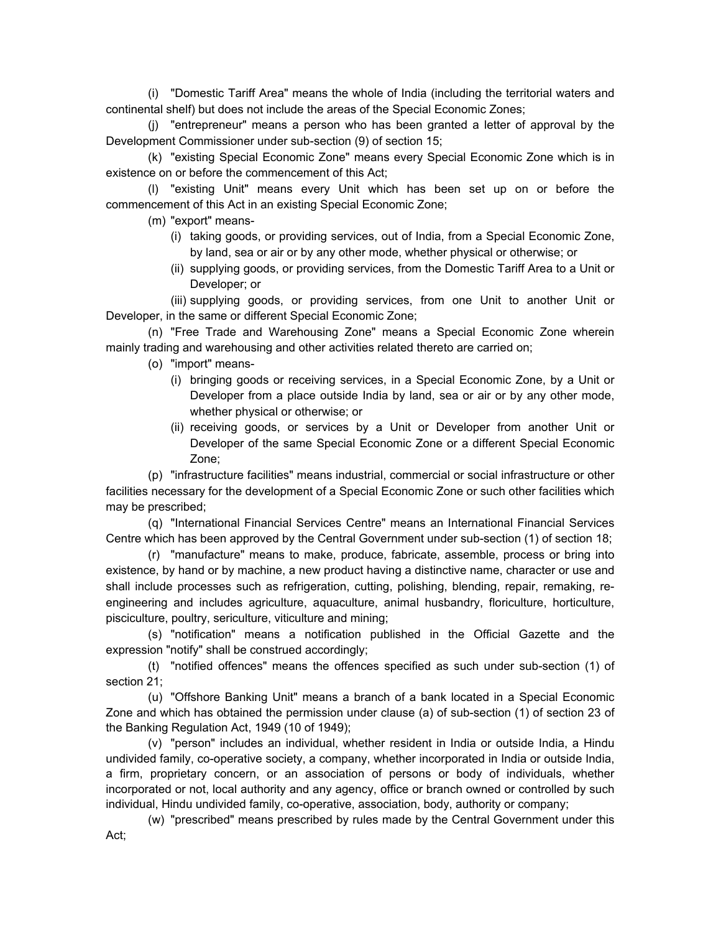(i) "Domestic Tariff Area" means the whole of India (including the territorial waters and continental shelf) but does not include the areas of the Special Economic Zones;

(j) "entrepreneur" means a person who has been granted a letter of approval by the Development Commissioner under sub-section (9) of section 15;

(k) "existing Special Economic Zone" means every Special Economic Zone which is in existence on or before the commencement of this Act;

(l) "existing Unit" means every Unit which has been set up on or before the commencement of this Act in an existing Special Economic Zone;

(m) "export" means-

- (i) taking goods, or providing services, out of India, from a Special Economic Zone, by land, sea or air or by any other mode, whether physical or otherwise; or
- (ii) supplying goods, or providing services, from the Domestic Tariff Area to a Unit or Developer; or

(iii) supplying goods, or providing services, from one Unit to another Unit or Developer, in the same or different Special Economic Zone;

(n) "Free Trade and Warehousing Zone" means a Special Economic Zone wherein mainly trading and warehousing and other activities related thereto are carried on;

- (o) "import" means-
	- (i) bringing goods or receiving services, in a Special Economic Zone, by a Unit or Developer from a place outside India by land, sea or air or by any other mode, whether physical or otherwise; or
	- (ii) receiving goods, or services by a Unit or Developer from another Unit or Developer of the same Special Economic Zone or a different Special Economic Zone;

(p) "infrastructure facilities" means industrial, commercial or social infrastructure or other facilities necessary for the development of a Special Economic Zone or such other facilities which may be prescribed;

(q) "International Financial Services Centre" means an International Financial Services Centre which has been approved by the Central Government under sub-section (1) of section 18;

(r) "manufacture" means to make, produce, fabricate, assemble, process or bring into existence, by hand or by machine, a new product having a distinctive name, character or use and shall include processes such as refrigeration, cutting, polishing, blending, repair, remaking, reengineering and includes agriculture, aquaculture, animal husbandry, floriculture, horticulture, pisciculture, poultry, sericulture, viticulture and mining;

 (s) "notification" means a notification published in the Official Gazette and the expression "notify" shall be construed accordingly;

(t) "notified offences" means the offences specified as such under sub-section (1) of section 21;

(u) "Offshore Banking Unit" means a branch of a bank located in a Special Economic Zone and which has obtained the permission under clause (a) of sub-section (1) of section 23 of the Banking Regulation Act, 1949 (10 of 1949);

(v) "person" includes an individual, whether resident in India or outside India, a Hindu undivided family, co-operative society, a company, whether incorporated in India or outside India, a firm, proprietary concern, or an association of persons or body of individuals, whether incorporated or not, local authority and any agency, office or branch owned or controlled by such individual, Hindu undivided family, co-operative, association, body, authority or company;

(w) "prescribed" means prescribed by rules made by the Central Government under this Act;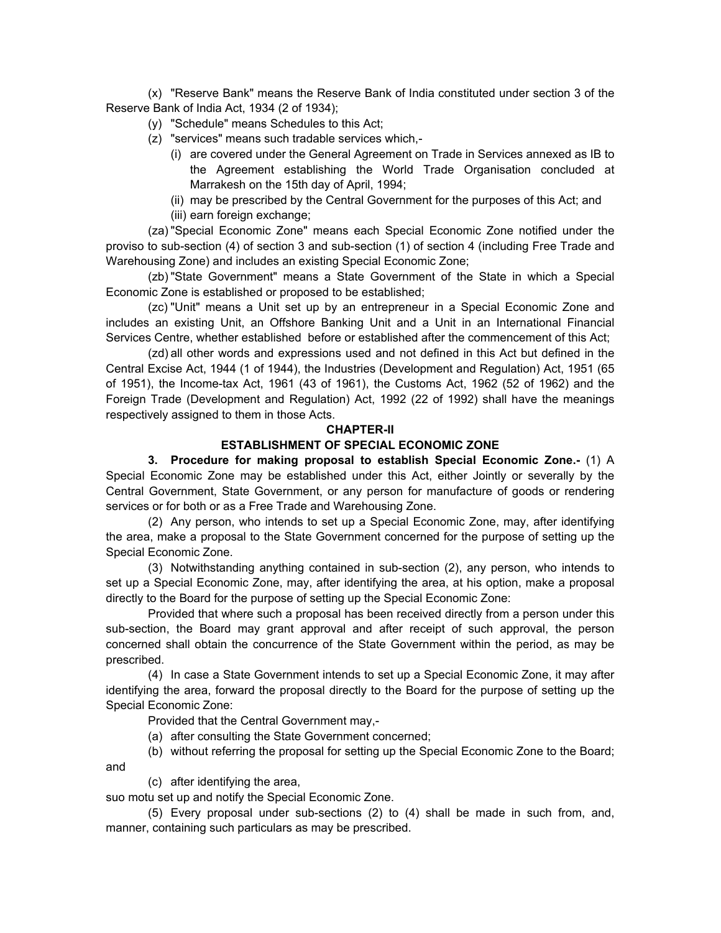(x) "Reserve Bank" means the Reserve Bank of India constituted under section 3 of the Reserve Bank of India Act, 1934 (2 of 1934);

- (y) "Schedule" means Schedules to this Act;
- (z) "services" means such tradable services which,-
	- (i) are covered under the General Agreement on Trade in Services annexed as IB to the Agreement establishing the World Trade Organisation concluded at Marrakesh on the 15th day of April, 1994;
	- (ii) may be prescribed by the Central Government for the purposes of this Act; and (iii) earn foreign exchange;

(za) "Special Economic Zone" means each Special Economic Zone notified under the proviso to sub-section (4) of section 3 and sub-section (1) of section 4 (including Free Trade and Warehousing Zone) and includes an existing Special Economic Zone;

(zb) "State Government" means a State Government of the State in which a Special Economic Zone is established or proposed to be established;

(zc) "Unit" means a Unit set up by an entrepreneur in a Special Economic Zone and includes an existing Unit, an Offshore Banking Unit and a Unit in an International Financial Services Centre, whether established before or established after the commencement of this Act;

(zd) all other words and expressions used and not defined in this Act but defined in the Central Excise Act, 1944 (1 of 1944), the Industries (Development and Regulation) Act, 1951 (65 of 1951), the Income-tax Act, 1961 (43 of 1961), the Customs Act, 1962 (52 of 1962) and the Foreign Trade (Development and Regulation) Act, 1992 (22 of 1992) shall have the meanings respectively assigned to them in those Acts.

#### **CHAPTER-II**

#### **ESTABLISHMENT OF SPECIAL ECONOMIC ZONE**

**3. Procedure for making proposal to establish Special Economic Zone.-** (1) A Special Economic Zone may be established under this Act, either Jointly or severally by the Central Government, State Government, or any person for manufacture of goods or rendering services or for both or as a Free Trade and Warehousing Zone.

(2) Any person, who intends to set up a Special Economic Zone, may, after identifying the area, make a proposal to the State Government concerned for the purpose of setting up the Special Economic Zone.

(3) Notwithstanding anything contained in sub-section (2), any person, who intends to set up a Special Economic Zone, may, after identifying the area, at his option, make a proposal directly to the Board for the purpose of setting up the Special Economic Zone:

Provided that where such a proposal has been received directly from a person under this sub-section, the Board may grant approval and after receipt of such approval, the person concerned shall obtain the concurrence of the State Government within the period, as may be prescribed.

(4) In case a State Government intends to set up a Special Economic Zone, it may after identifying the area, forward the proposal directly to the Board for the purpose of setting up the Special Economic Zone:

Provided that the Central Government may,-

- (a) after consulting the State Government concerned;
- (b) without referring the proposal for setting up the Special Economic Zone to the Board;

(c) after identifying the area,

and

suo motu set up and notify the Special Economic Zone.

(5) Every proposal under sub-sections (2) to (4) shall be made in such from, and, manner, containing such particulars as may be prescribed.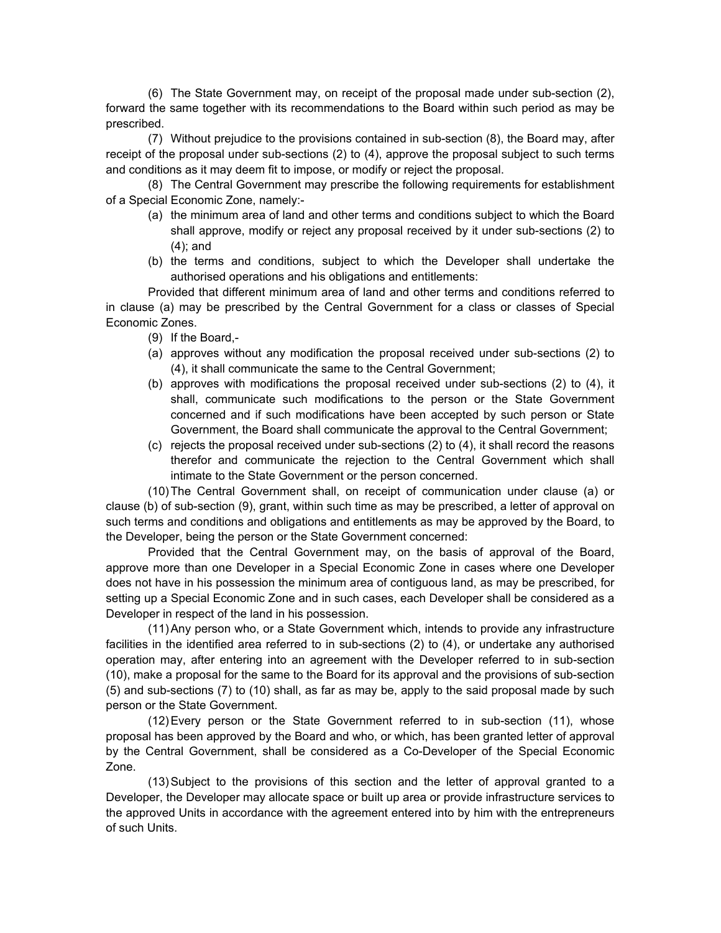(6) The State Government may, on receipt of the proposal made under sub-section (2), forward the same together with its recommendations to the Board within such period as may be prescribed.

(7) Without prejudice to the provisions contained in sub-section (8), the Board may, after receipt of the proposal under sub-sections (2) to (4), approve the proposal subject to such terms and conditions as it may deem fit to impose, or modify or reject the proposal.

(8) The Central Government may prescribe the following requirements for establishment of a Special Economic Zone, namely:-

- (a) the minimum area of land and other terms and conditions subject to which the Board shall approve, modify or reject any proposal received by it under sub-sections (2) to (4); and
- (b) the terms and conditions, subject to which the Developer shall undertake the authorised operations and his obligations and entitlements:

Provided that different minimum area of land and other terms and conditions referred to in clause (a) may be prescribed by the Central Government for a class or classes of Special Economic Zones.

- (9) If the Board,-
- (a) approves without any modification the proposal received under sub-sections (2) to (4), it shall communicate the same to the Central Government;
- (b) approves with modifications the proposal received under sub-sections (2) to (4), it shall, communicate such modifications to the person or the State Government concerned and if such modifications have been accepted by such person or State Government, the Board shall communicate the approval to the Central Government;
- (c) rejects the proposal received under sub-sections (2) to (4), it shall record the reasons therefor and communicate the rejection to the Central Government which shall intimate to the State Government or the person concerned.

(10) The Central Government shall, on receipt of communication under clause (a) or clause (b) of sub-section (9), grant, within such time as may be prescribed, a letter of approval on such terms and conditions and obligations and entitlements as may be approved by the Board, to the Developer, being the person or the State Government concerned:

Provided that the Central Government may, on the basis of approval of the Board, approve more than one Developer in a Special Economic Zone in cases where one Developer does not have in his possession the minimum area of contiguous land, as may be prescribed, for setting up a Special Economic Zone and in such cases, each Developer shall be considered as a Developer in respect of the land in his possession.

(11) Any person who, or a State Government which, intends to provide any infrastructure facilities in the identified area referred to in sub-sections (2) to (4), or undertake any authorised operation may, after entering into an agreement with the Developer referred to in sub-section (10), make a proposal for the same to the Board for its approval and the provisions of sub-section (5) and sub-sections (7) to (10) shall, as far as may be, apply to the said proposal made by such person or the State Government.

(12) Every person or the State Government referred to in sub-section (11), whose proposal has been approved by the Board and who, or which, has been granted letter of approval by the Central Government, shall be considered as a Co-Developer of the Special Economic Zone.

(13) Subject to the provisions of this section and the letter of approval granted to a Developer, the Developer may allocate space or built up area or provide infrastructure services to the approved Units in accordance with the agreement entered into by him with the entrepreneurs of such Units.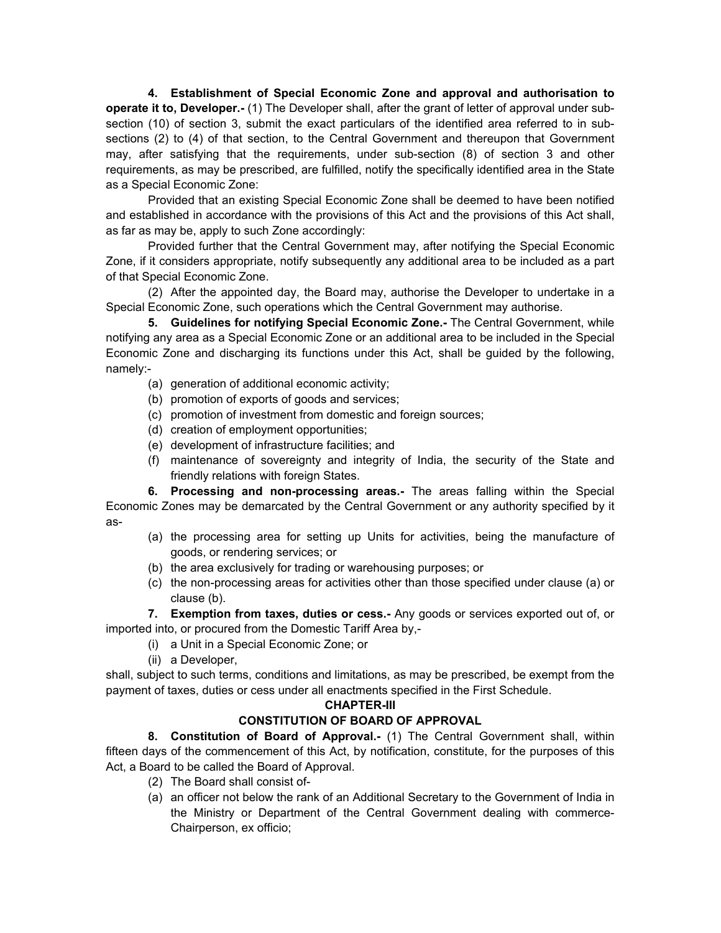**4. Establishment of Special Economic Zone and approval and authorisation to operate it to, Developer.-** (1) The Developer shall, after the grant of letter of approval under subsection (10) of section 3, submit the exact particulars of the identified area referred to in subsections (2) to (4) of that section, to the Central Government and thereupon that Government may, after satisfying that the requirements, under sub-section (8) of section 3 and other requirements, as may be prescribed, are fulfilled, notify the specifically identified area in the State as a Special Economic Zone:

Provided that an existing Special Economic Zone shall be deemed to have been notified and established in accordance with the provisions of this Act and the provisions of this Act shall, as far as may be, apply to such Zone accordingly:

Provided further that the Central Government may, after notifying the Special Economic Zone, if it considers appropriate, notify subsequently any additional area to be included as a part of that Special Economic Zone.

(2) After the appointed day, the Board may, authorise the Developer to undertake in a Special Economic Zone, such operations which the Central Government may authorise.

**5. Guidelines for notifying Special Economic Zone.-** The Central Government, while notifying any area as a Special Economic Zone or an additional area to be included in the Special Economic Zone and discharging its functions under this Act, shall be guided by the following, namely:-

- (a) generation of additional economic activity;
- (b) promotion of exports of goods and services;
- (c) promotion of investment from domestic and foreign sources;
- (d) creation of employment opportunities;
- (e) development of infrastructure facilities; and
- (f) maintenance of sovereignty and integrity of India, the security of the State and friendly relations with foreign States.

**6. Processing and non-processing areas.-** The areas falling within the Special Economic Zones may be demarcated by the Central Government or any authority specified by it as-

- (a) the processing area for setting up Units for activities, being the manufacture of goods, or rendering services; or
- (b) the area exclusively for trading or warehousing purposes; or
- (c) the non-processing areas for activities other than those specified under clause (a) or clause (b).

 **7. Exemption from taxes, duties or cess.-** Any goods or services exported out of, or imported into, or procured from the Domestic Tariff Area by,-

- (i) a Unit in a Special Economic Zone; or
- (ii) a Developer,

shall, subject to such terms, conditions and limitations, as may be prescribed, be exempt from the payment of taxes, duties or cess under all enactments specified in the First Schedule.

## **CHAPTER-III**

## **CONSTITUTION OF BOARD OF APPROVAL**

**8. Constitution of Board of Approval.-** (1) The Central Government shall, within fifteen days of the commencement of this Act, by notification, constitute, for the purposes of this Act, a Board to be called the Board of Approval.

- (2) The Board shall consist of-
- (a) an officer not below the rank of an Additional Secretary to the Government of India in the Ministry or Department of the Central Government dealing with commerce-Chairperson, ex officio;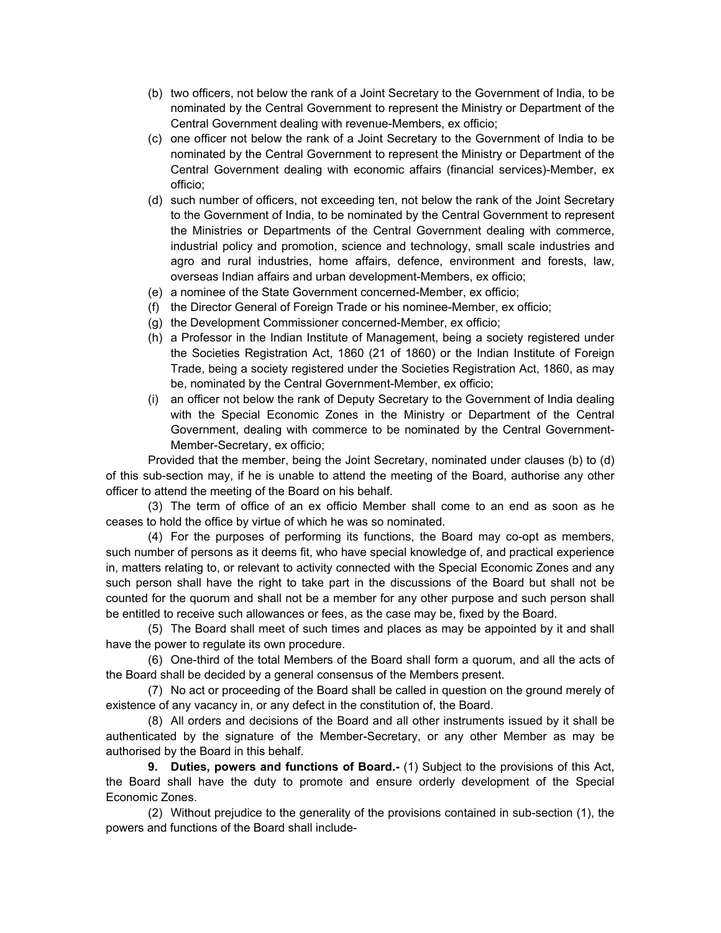- (b) two officers, not below the rank of a Joint Secretary to the Government of India, to be nominated by the Central Government to represent the Ministry or Department of the Central Government dealing with revenue-Members, ex officio;
- (c) one officer not below the rank of a Joint Secretary to the Government of India to be nominated by the Central Government to represent the Ministry or Department of the Central Government dealing with economic affairs (financial services)-Member, ex officio;
- (d) such number of officers, not exceeding ten, not below the rank of the Joint Secretary to the Government of India, to be nominated by the Central Government to represent the Ministries or Departments of the Central Government dealing with commerce, industrial policy and promotion, science and technology, small scale industries and agro and rural industries, home affairs, defence, environment and forests, law, overseas Indian affairs and urban development-Members, ex officio;
- (e) a nominee of the State Government concerned-Member, ex officio;
- (f) the Director General of Foreign Trade or his nominee-Member, ex officio;
- (g) the Development Commissioner concerned-Member, ex officio;
- (h) a Professor in the Indian Institute of Management, being a society registered under the Societies Registration Act, 1860 (21 of 1860) or the Indian Institute of Foreign Trade, being a society registered under the Societies Registration Act, 1860, as may be, nominated by the Central Government-Member, ex officio;
- (i) an officer not below the rank of Deputy Secretary to the Government of India dealing with the Special Economic Zones in the Ministry or Department of the Central Government, dealing with commerce to be nominated by the Central Government-Member-Secretary, ex officio;

Provided that the member, being the Joint Secretary, nominated under clauses (b) to (d) of this sub-section may, if he is unable to attend the meeting of the Board, authorise any other officer to attend the meeting of the Board on his behalf.

(3) The term of office of an ex officio Member shall come to an end as soon as he ceases to hold the office by virtue of which he was so nominated.

(4) For the purposes of performing its functions, the Board may co-opt as members, such number of persons as it deems fit, who have special knowledge of, and practical experience in, matters relating to, or relevant to activity connected with the Special Economic Zones and any such person shall have the right to take part in the discussions of the Board but shall not be counted for the quorum and shall not be a member for any other purpose and such person shall be entitled to receive such allowances or fees, as the case may be, fixed by the Board.

(5) The Board shall meet of such times and places as may be appointed by it and shall have the power to regulate its own procedure.

(6) One-third of the total Members of the Board shall form a quorum, and all the acts of the Board shall be decided by a general consensus of the Members present.

(7) No act or proceeding of the Board shall be called in question on the ground merely of existence of any vacancy in, or any defect in the constitution of, the Board.

(8) All orders and decisions of the Board and all other instruments issued by it shall be authenticated by the signature of the Member-Secretary, or any other Member as may be authorised by the Board in this behalf.

**9. Duties, powers and functions of Board.-** (1) Subject to the provisions of this Act, the Board shall have the duty to promote and ensure orderly development of the Special Economic Zones.

(2) Without prejudice to the generality of the provisions contained in sub-section (1), the powers and functions of the Board shall include-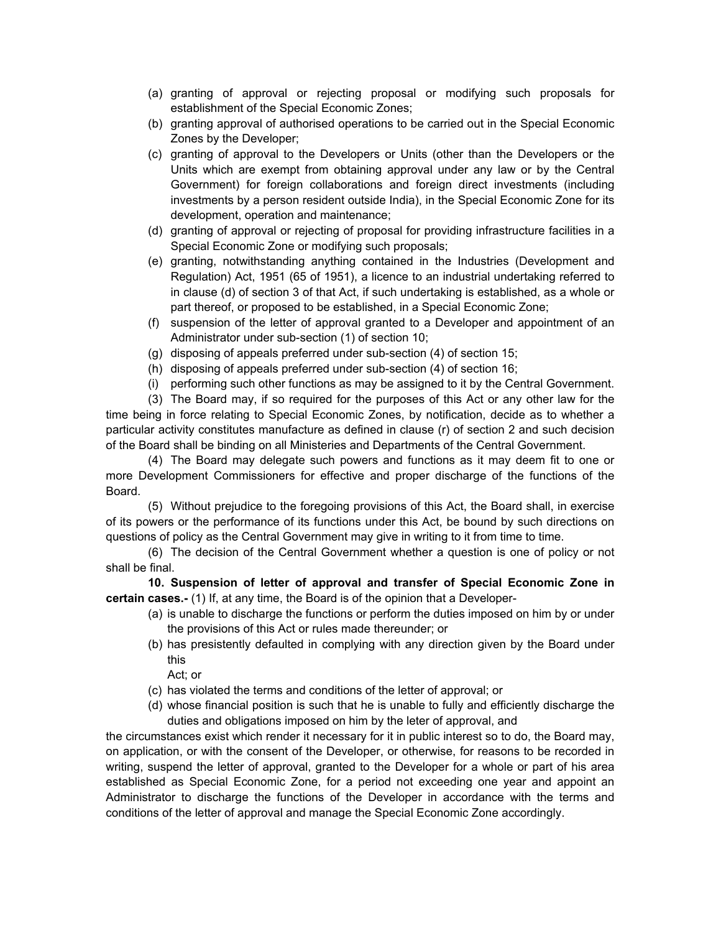- (a) granting of approval or rejecting proposal or modifying such proposals for establishment of the Special Economic Zones;
- (b) granting approval of authorised operations to be carried out in the Special Economic Zones by the Developer;
- (c) granting of approval to the Developers or Units (other than the Developers or the Units which are exempt from obtaining approval under any law or by the Central Government) for foreign collaborations and foreign direct investments (including investments by a person resident outside India), in the Special Economic Zone for its development, operation and maintenance;
- (d) granting of approval or rejecting of proposal for providing infrastructure facilities in a Special Economic Zone or modifying such proposals;
- (e) granting, notwithstanding anything contained in the Industries (Development and Regulation) Act, 1951 (65 of 1951), a licence to an industrial undertaking referred to in clause (d) of section 3 of that Act, if such undertaking is established, as a whole or part thereof, or proposed to be established, in a Special Economic Zone;
- (f) suspension of the letter of approval granted to a Developer and appointment of an Administrator under sub-section (1) of section 10;
- (g) disposing of appeals preferred under sub-section (4) of section 15;
- (h) disposing of appeals preferred under sub-section (4) of section 16;
- (i) performing such other functions as may be assigned to it by the Central Government.

(3) The Board may, if so required for the purposes of this Act or any other law for the time being in force relating to Special Economic Zones, by notification, decide as to whether a particular activity constitutes manufacture as defined in clause (r) of section 2 and such decision of the Board shall be binding on all Ministeries and Departments of the Central Government.

(4) The Board may delegate such powers and functions as it may deem fit to one or more Development Commissioners for effective and proper discharge of the functions of the Board.

(5) Without prejudice to the foregoing provisions of this Act, the Board shall, in exercise of its powers or the performance of its functions under this Act, be bound by such directions on questions of policy as the Central Government may give in writing to it from time to time.

(6) The decision of the Central Government whether a question is one of policy or not shall be final.

**10. Suspension of letter of approval and transfer of Special Economic Zone in certain cases.-** (1) If, at any time, the Board is of the opinion that a Developer-

- (a) is unable to discharge the functions or perform the duties imposed on him by or under the provisions of this Act or rules made thereunder; or
- (b) has presistently defaulted in complying with any direction given by the Board under this

Act; or

- (c) has violated the terms and conditions of the letter of approval; or
- (d) whose financial position is such that he is unable to fully and efficiently discharge the duties and obligations imposed on him by the leter of approval, and

the circumstances exist which render it necessary for it in public interest so to do, the Board may, on application, or with the consent of the Developer, or otherwise, for reasons to be recorded in writing, suspend the letter of approval, granted to the Developer for a whole or part of his area established as Special Economic Zone, for a period not exceeding one year and appoint an Administrator to discharge the functions of the Developer in accordance with the terms and conditions of the letter of approval and manage the Special Economic Zone accordingly.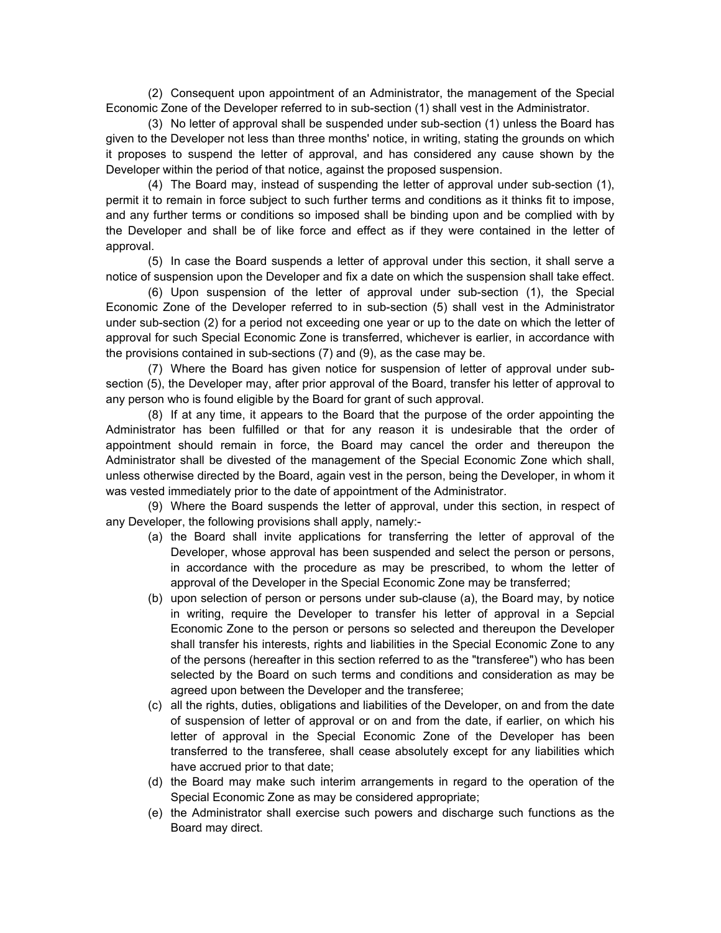(2) Consequent upon appointment of an Administrator, the management of the Special Economic Zone of the Developer referred to in sub-section (1) shall vest in the Administrator.

(3) No letter of approval shall be suspended under sub-section (1) unless the Board has given to the Developer not less than three months' notice, in writing, stating the grounds on which it proposes to suspend the letter of approval, and has considered any cause shown by the Developer within the period of that notice, against the proposed suspension.

(4) The Board may, instead of suspending the letter of approval under sub-section (1), permit it to remain in force subject to such further terms and conditions as it thinks fit to impose, and any further terms or conditions so imposed shall be binding upon and be complied with by the Developer and shall be of like force and effect as if they were contained in the letter of approval.

(5) In case the Board suspends a letter of approval under this section, it shall serve a notice of suspension upon the Developer and fix a date on which the suspension shall take effect.

(6) Upon suspension of the letter of approval under sub-section (1), the Special Economic Zone of the Developer referred to in sub-section (5) shall vest in the Administrator under sub-section (2) for a period not exceeding one year or up to the date on which the letter of approval for such Special Economic Zone is transferred, whichever is earlier, in accordance with the provisions contained in sub-sections (7) and (9), as the case may be.

(7) Where the Board has given notice for suspension of letter of approval under subsection (5), the Developer may, after prior approval of the Board, transfer his letter of approval to any person who is found eligible by the Board for grant of such approval.

(8) If at any time, it appears to the Board that the purpose of the order appointing the Administrator has been fulfilled or that for any reason it is undesirable that the order of appointment should remain in force, the Board may cancel the order and thereupon the Administrator shall be divested of the management of the Special Economic Zone which shall, unless otherwise directed by the Board, again vest in the person, being the Developer, in whom it was vested immediately prior to the date of appointment of the Administrator.

(9) Where the Board suspends the letter of approval, under this section, in respect of any Developer, the following provisions shall apply, namely:-

- (a) the Board shall invite applications for transferring the letter of approval of the Developer, whose approval has been suspended and select the person or persons, in accordance with the procedure as may be prescribed, to whom the letter of approval of the Developer in the Special Economic Zone may be transferred;
- (b) upon selection of person or persons under sub-clause (a), the Board may, by notice in writing, require the Developer to transfer his letter of approval in a Sepcial Economic Zone to the person or persons so selected and thereupon the Developer shall transfer his interests, rights and liabilities in the Special Economic Zone to any of the persons (hereafter in this section referred to as the "transferee") who has been selected by the Board on such terms and conditions and consideration as may be agreed upon between the Developer and the transferee;
- (c) all the rights, duties, obligations and liabilities of the Developer, on and from the date of suspension of letter of approval or on and from the date, if earlier, on which his letter of approval in the Special Economic Zone of the Developer has been transferred to the transferee, shall cease absolutely except for any liabilities which have accrued prior to that date;
- (d) the Board may make such interim arrangements in regard to the operation of the Special Economic Zone as may be considered appropriate;
- (e) the Administrator shall exercise such powers and discharge such functions as the Board may direct.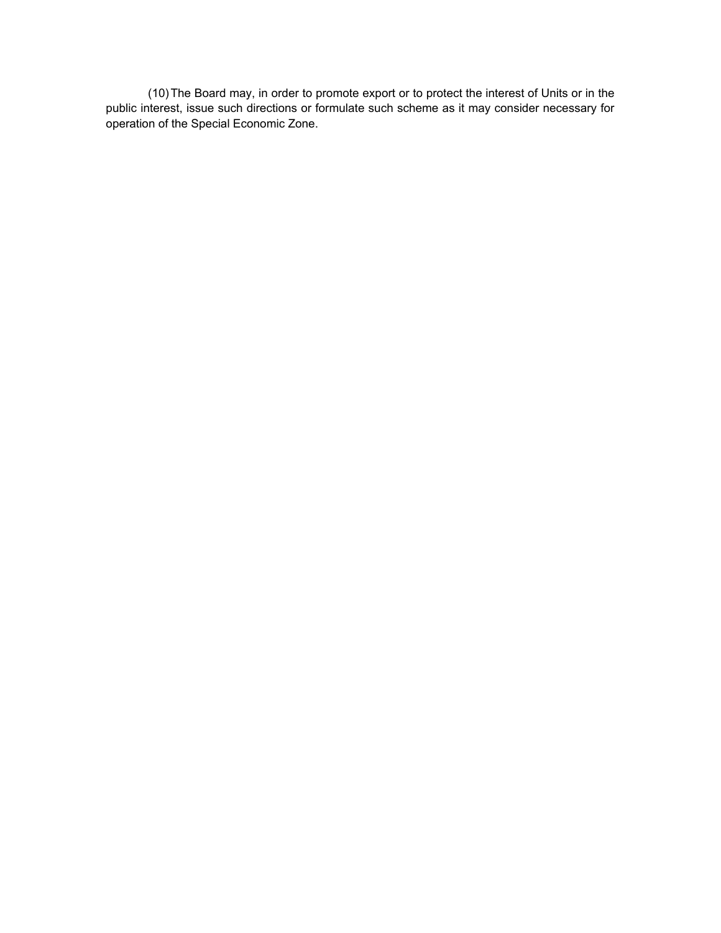(10) The Board may, in order to promote export or to protect the interest of Units or in the public interest, issue such directions or formulate such scheme as it may consider necessary for operation of the Special Economic Zone.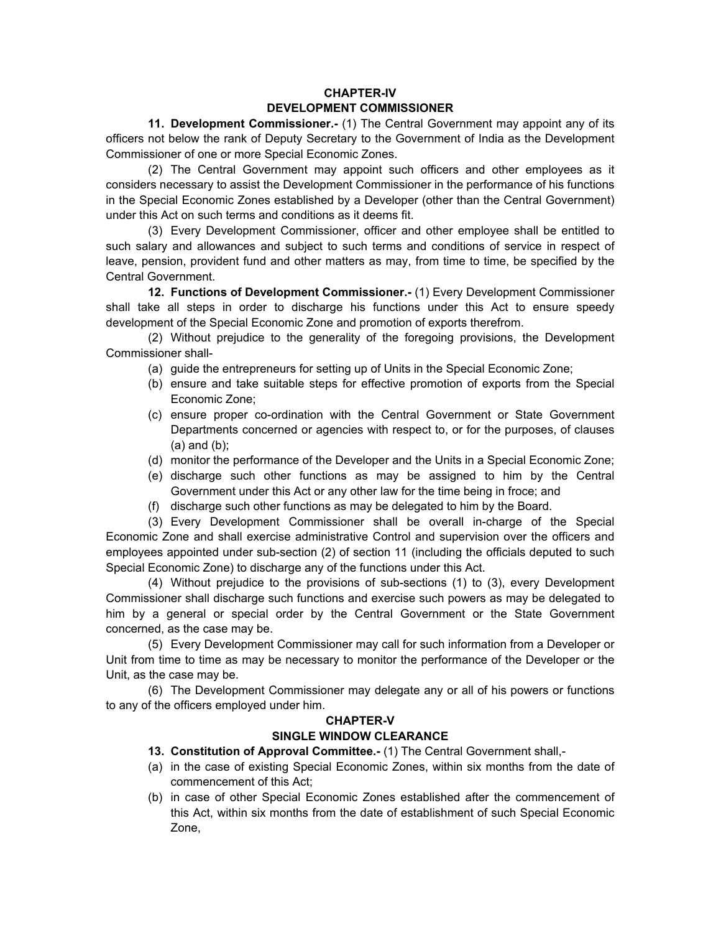# **CHAPTER-IV DEVELOPMENT COMMISSIONER**

 **11. Development Commissioner.-** (1) The Central Government may appoint any of its officers not below the rank of Deputy Secretary to the Government of India as the Development Commissioner of one or more Special Economic Zones.

(2) The Central Government may appoint such officers and other employees as it considers necessary to assist the Development Commissioner in the performance of his functions in the Special Economic Zones established by a Developer (other than the Central Government) under this Act on such terms and conditions as it deems fit.

(3) Every Development Commissioner, officer and other employee shall be entitled to such salary and allowances and subject to such terms and conditions of service in respect of leave, pension, provident fund and other matters as may, from time to time, be specified by the Central Government.

**12. Functions of Development Commissioner.-** (1) Every Development Commissioner shall take all steps in order to discharge his functions under this Act to ensure speedy development of the Special Economic Zone and promotion of exports therefrom.

(2) Without prejudice to the generality of the foregoing provisions, the Development Commissioner shall-

- (a) guide the entrepreneurs for setting up of Units in the Special Economic Zone;
- (b) ensure and take suitable steps for effective promotion of exports from the Special Economic Zone;
- (c) ensure proper co-ordination with the Central Government or State Government Departments concerned or agencies with respect to, or for the purposes, of clauses (a) and (b);
- (d) monitor the performance of the Developer and the Units in a Special Economic Zone;
- (e) discharge such other functions as may be assigned to him by the Central Government under this Act or any other law for the time being in froce; and
- (f) discharge such other functions as may be delegated to him by the Board.

(3) Every Development Commissioner shall be overall in-charge of the Special Economic Zone and shall exercise administrative Control and supervision over the officers and employees appointed under sub-section (2) of section 11 (including the officials deputed to such Special Economic Zone) to discharge any of the functions under this Act.

(4) Without prejudice to the provisions of sub-sections (1) to (3), every Development Commissioner shall discharge such functions and exercise such powers as may be delegated to him by a general or special order by the Central Government or the State Government concerned, as the case may be.

(5) Every Development Commissioner may call for such information from a Developer or Unit from time to time as may be necessary to monitor the performance of the Developer or the Unit, as the case may be.

(6) The Development Commissioner may delegate any or all of his powers or functions to any of the officers employed under him.

## **CHAPTER-V**

## **SINGLE WINDOW CLEARANCE**

- **13. Constitution of Approval Committee.-** (1) The Central Government shall,-
- (a) in the case of existing Special Economic Zones, within six months from the date of commencement of this Act;
- (b) in case of other Special Economic Zones established after the commencement of this Act, within six months from the date of establishment of such Special Economic Zone,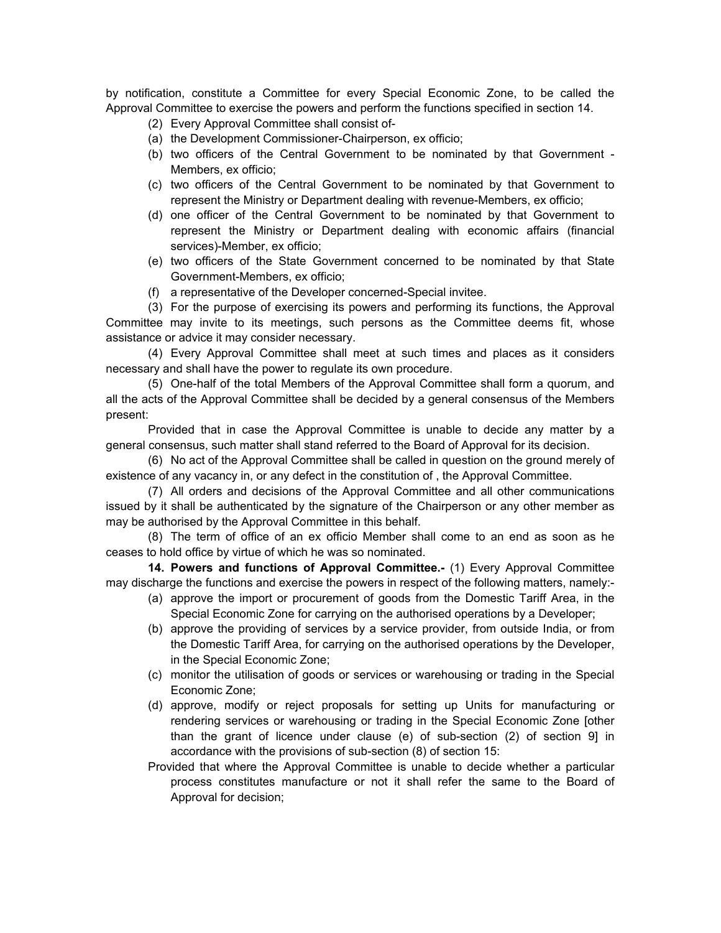by notification, constitute a Committee for every Special Economic Zone, to be called the Approval Committee to exercise the powers and perform the functions specified in section 14.

- (2) Every Approval Committee shall consist of-
- (a) the Development Commissioner-Chairperson, ex officio;
- (b) two officers of the Central Government to be nominated by that Government Members, ex officio;
- (c) two officers of the Central Government to be nominated by that Government to represent the Ministry or Department dealing with revenue-Members, ex officio;
- (d) one officer of the Central Government to be nominated by that Government to represent the Ministry or Department dealing with economic affairs (financial services)-Member, ex officio;
- (e) two officers of the State Government concerned to be nominated by that State Government-Members, ex officio;
- (f) a representative of the Developer concerned-Special invitee.

(3) For the purpose of exercising its powers and performing its functions, the Approval Committee may invite to its meetings, such persons as the Committee deems fit, whose assistance or advice it may consider necessary.

(4) Every Approval Committee shall meet at such times and places as it considers necessary and shall have the power to regulate its own procedure.

(5) One-half of the total Members of the Approval Committee shall form a quorum, and all the acts of the Approval Committee shall be decided by a general consensus of the Members present:

Provided that in case the Approval Committee is unable to decide any matter by a general consensus, such matter shall stand referred to the Board of Approval for its decision.

(6) No act of the Approval Committee shall be called in question on the ground merely of existence of any vacancy in, or any defect in the constitution of , the Approval Committee.

(7) All orders and decisions of the Approval Committee and all other communications issued by it shall be authenticated by the signature of the Chairperson or any other member as may be authorised by the Approval Committee in this behalf.

(8) The term of office of an ex officio Member shall come to an end as soon as he ceases to hold office by virtue of which he was so nominated.

**14. Powers and functions of Approval Committee.-** (1) Every Approval Committee may discharge the functions and exercise the powers in respect of the following matters, namely:-

- (a) approve the import or procurement of goods from the Domestic Tariff Area, in the Special Economic Zone for carrying on the authorised operations by a Developer;
- (b) approve the providing of services by a service provider, from outside India, or from the Domestic Tariff Area, for carrying on the authorised operations by the Developer, in the Special Economic Zone;
- (c) monitor the utilisation of goods or services or warehousing or trading in the Special Economic Zone;
- (d) approve, modify or reject proposals for setting up Units for manufacturing or rendering services or warehousing or trading in the Special Economic Zone [other than the grant of licence under clause (e) of sub-section (2) of section 9] in accordance with the provisions of sub-section (8) of section 15:
- Provided that where the Approval Committee is unable to decide whether a particular process constitutes manufacture or not it shall refer the same to the Board of Approval for decision;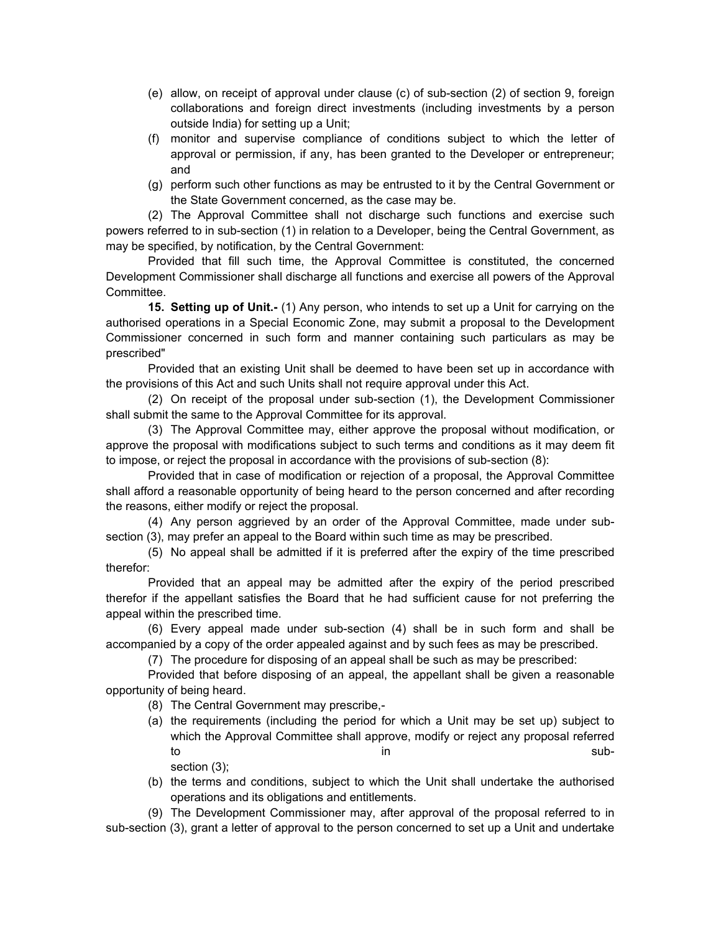- (e) allow, on receipt of approval under clause (c) of sub-section (2) of section 9, foreign collaborations and foreign direct investments (including investments by a person outside India) for setting up a Unit;
- (f) monitor and supervise compliance of conditions subject to which the letter of approval or permission, if any, has been granted to the Developer or entrepreneur; and
- (g) perform such other functions as may be entrusted to it by the Central Government or the State Government concerned, as the case may be.

(2) The Approval Committee shall not discharge such functions and exercise such powers referred to in sub-section (1) in relation to a Developer, being the Central Government, as may be specified, by notification, by the Central Government:

Provided that fill such time, the Approval Committee is constituted, the concerned Development Commissioner shall discharge all functions and exercise all powers of the Approval Committee.

**15. Setting up of Unit.-** (1) Any person, who intends to set up a Unit for carrying on the authorised operations in a Special Economic Zone, may submit a proposal to the Development Commissioner concerned in such form and manner containing such particulars as may be prescribed"

Provided that an existing Unit shall be deemed to have been set up in accordance with the provisions of this Act and such Units shall not require approval under this Act.

(2) On receipt of the proposal under sub-section (1), the Development Commissioner shall submit the same to the Approval Committee for its approval.

(3) The Approval Committee may, either approve the proposal without modification, or approve the proposal with modifications subject to such terms and conditions as it may deem fit to impose, or reject the proposal in accordance with the provisions of sub-section (8):

Provided that in case of modification or rejection of a proposal, the Approval Committee shall afford a reasonable opportunity of being heard to the person concerned and after recording the reasons, either modify or reject the proposal.

(4) Any person aggrieved by an order of the Approval Committee, made under subsection (3), may prefer an appeal to the Board within such time as may be prescribed.

(5) No appeal shall be admitted if it is preferred after the expiry of the time prescribed therefor:

Provided that an appeal may be admitted after the expiry of the period prescribed therefor if the appellant satisfies the Board that he had sufficient cause for not preferring the appeal within the prescribed time.

(6) Every appeal made under sub-section (4) shall be in such form and shall be accompanied by a copy of the order appealed against and by such fees as may be prescribed.

(7) The procedure for disposing of an appeal shall be such as may be prescribed:

Provided that before disposing of an appeal, the appellant shall be given a reasonable opportunity of being heard.

- (8) The Central Government may prescribe,-
- (a) the requirements (including the period for which a Unit may be set up) subject to which the Approval Committee shall approve, modify or reject any proposal referred to in subsection (3);
- (b) the terms and conditions, subject to which the Unit shall undertake the authorised operations and its obligations and entitlements.

(9) The Development Commissioner may, after approval of the proposal referred to in sub-section (3), grant a letter of approval to the person concerned to set up a Unit and undertake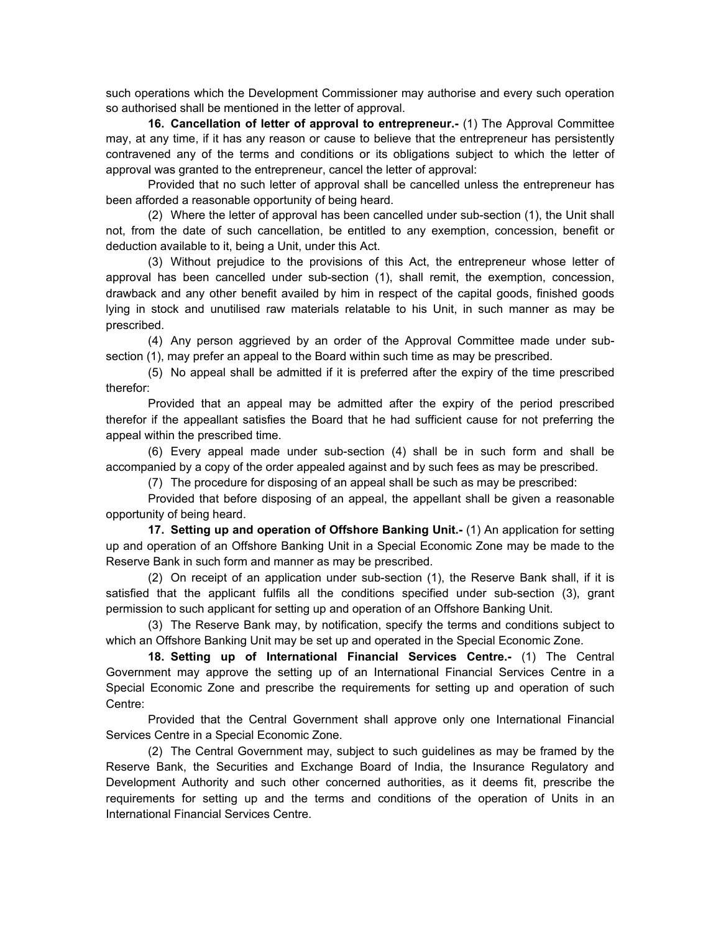such operations which the Development Commissioner may authorise and every such operation so authorised shall be mentioned in the letter of approval.

**16. Cancellation of letter of approval to entrepreneur.-** (1) The Approval Committee may, at any time, if it has any reason or cause to believe that the entrepreneur has persistently contravened any of the terms and conditions or its obligations subject to which the letter of approval was granted to the entrepreneur, cancel the letter of approval:

Provided that no such letter of approval shall be cancelled unless the entrepreneur has been afforded a reasonable opportunity of being heard.

(2) Where the letter of approval has been cancelled under sub-section (1), the Unit shall not, from the date of such cancellation, be entitled to any exemption, concession, benefit or deduction available to it, being a Unit, under this Act.

(3) Without prejudice to the provisions of this Act, the entrepreneur whose letter of approval has been cancelled under sub-section (1), shall remit, the exemption, concession, drawback and any other benefit availed by him in respect of the capital goods, finished goods lying in stock and unutilised raw materials relatable to his Unit, in such manner as may be prescribed.

(4) Any person aggrieved by an order of the Approval Committee made under subsection (1), may prefer an appeal to the Board within such time as may be prescribed.

(5) No appeal shall be admitted if it is preferred after the expiry of the time prescribed therefor:

Provided that an appeal may be admitted after the expiry of the period prescribed therefor if the appeallant satisfies the Board that he had sufficient cause for not preferring the appeal within the prescribed time.

(6) Every appeal made under sub-section (4) shall be in such form and shall be accompanied by a copy of the order appealed against and by such fees as may be prescribed.

(7) The procedure for disposing of an appeal shall be such as may be prescribed:

Provided that before disposing of an appeal, the appellant shall be given a reasonable opportunity of being heard.

**17. Setting up and operation of Offshore Banking Unit.-** (1) An application for setting up and operation of an Offshore Banking Unit in a Special Economic Zone may be made to the Reserve Bank in such form and manner as may be prescribed.

(2) On receipt of an application under sub-section (1), the Reserve Bank shall, if it is satisfied that the applicant fulfils all the conditions specified under sub-section (3), grant permission to such applicant for setting up and operation of an Offshore Banking Unit.

(3) The Reserve Bank may, by notification, specify the terms and conditions subject to which an Offshore Banking Unit may be set up and operated in the Special Economic Zone.

**18. Setting up of International Financial Services Centre.-** (1) The Central Government may approve the setting up of an International Financial Services Centre in a Special Economic Zone and prescribe the requirements for setting up and operation of such Centre:

Provided that the Central Government shall approve only one International Financial Services Centre in a Special Economic Zone.

(2) The Central Government may, subject to such guidelines as may be framed by the Reserve Bank, the Securities and Exchange Board of India, the Insurance Regulatory and Development Authority and such other concerned authorities, as it deems fit, prescribe the requirements for setting up and the terms and conditions of the operation of Units in an International Financial Services Centre.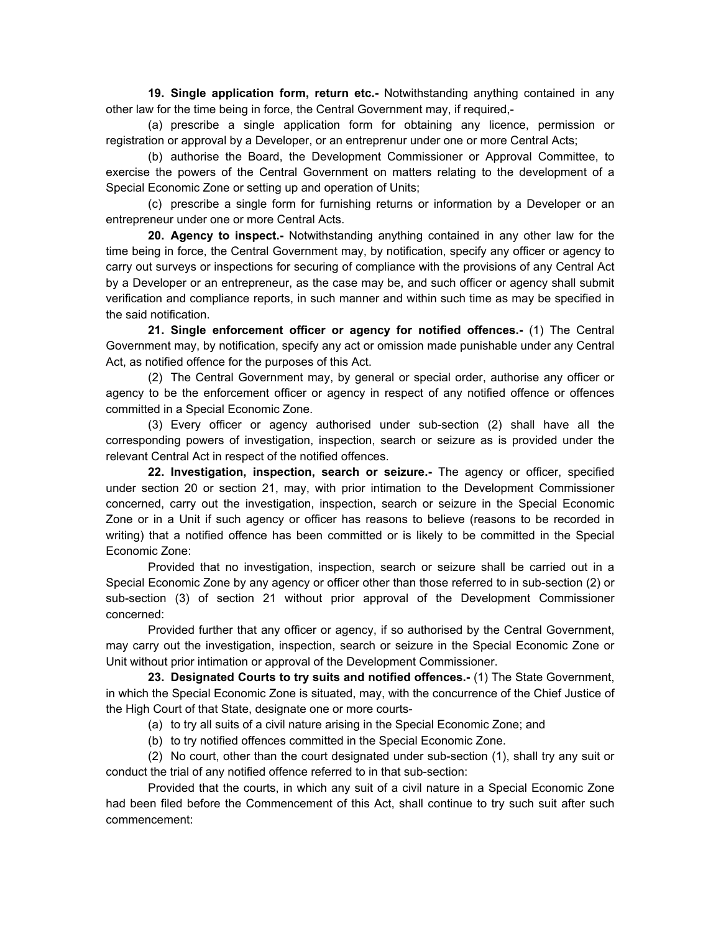**19. Single application form, return etc.-** Notwithstanding anything contained in any other law for the time being in force, the Central Government may, if required,-

(a) prescribe a single application form for obtaining any licence, permission or registration or approval by a Developer, or an entreprenur under one or more Central Acts;

(b) authorise the Board, the Development Commissioner or Approval Committee, to exercise the powers of the Central Government on matters relating to the development of a Special Economic Zone or setting up and operation of Units;

(c) prescribe a single form for furnishing returns or information by a Developer or an entrepreneur under one or more Central Acts.

**20. Agency to inspect.-** Notwithstanding anything contained in any other law for the time being in force, the Central Government may, by notification, specify any officer or agency to carry out surveys or inspections for securing of compliance with the provisions of any Central Act by a Developer or an entrepreneur, as the case may be, and such officer or agency shall submit verification and compliance reports, in such manner and within such time as may be specified in the said notification.

**21. Single enforcement officer or agency for notified offences.-** (1) The Central Government may, by notification, specify any act or omission made punishable under any Central Act, as notified offence for the purposes of this Act.

(2) The Central Government may, by general or special order, authorise any officer or agency to be the enforcement officer or agency in respect of any notified offence or offences committed in a Special Economic Zone.

(3) Every officer or agency authorised under sub-section (2) shall have all the corresponding powers of investigation, inspection, search or seizure as is provided under the relevant Central Act in respect of the notified offences.

**22. Investigation, inspection, search or seizure.-** The agency or officer, specified under section 20 or section 21, may, with prior intimation to the Development Commissioner concerned, carry out the investigation, inspection, search or seizure in the Special Economic Zone or in a Unit if such agency or officer has reasons to believe (reasons to be recorded in writing) that a notified offence has been committed or is likely to be committed in the Special Economic Zone:

Provided that no investigation, inspection, search or seizure shall be carried out in a Special Economic Zone by any agency or officer other than those referred to in sub-section (2) or sub-section (3) of section 21 without prior approval of the Development Commissioner concerned:

Provided further that any officer or agency, if so authorised by the Central Government, may carry out the investigation, inspection, search or seizure in the Special Economic Zone or Unit without prior intimation or approval of the Development Commissioner.

**23. Designated Courts to try suits and notified offences.-** (1) The State Government, in which the Special Economic Zone is situated, may, with the concurrence of the Chief Justice of the High Court of that State, designate one or more courts-

- (a) to try all suits of a civil nature arising in the Special Economic Zone; and
- (b) to try notified offences committed in the Special Economic Zone.

(2) No court, other than the court designated under sub-section (1), shall try any suit or conduct the trial of any notified offence referred to in that sub-section:

Provided that the courts, in which any suit of a civil nature in a Special Economic Zone had been filed before the Commencement of this Act, shall continue to try such suit after such commencement: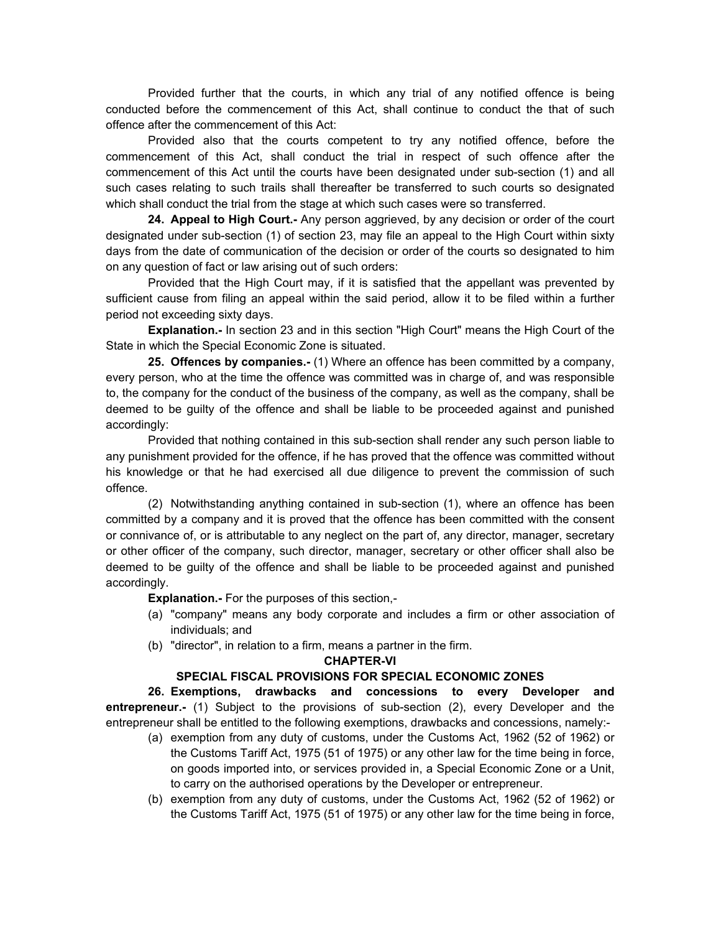Provided further that the courts, in which any trial of any notified offence is being conducted before the commencement of this Act, shall continue to conduct the that of such offence after the commencement of this Act:

Provided also that the courts competent to try any notified offence, before the commencement of this Act, shall conduct the trial in respect of such offence after the commencement of this Act until the courts have been designated under sub-section (1) and all such cases relating to such trails shall thereafter be transferred to such courts so designated which shall conduct the trial from the stage at which such cases were so transferred.

**24. Appeal to High Court.-** Any person aggrieved, by any decision or order of the court designated under sub-section (1) of section 23, may file an appeal to the High Court within sixty days from the date of communication of the decision or order of the courts so designated to him on any question of fact or law arising out of such orders:

Provided that the High Court may, if it is satisfied that the appellant was prevented by sufficient cause from filing an appeal within the said period, allow it to be filed within a further period not exceeding sixty days.

**Explanation.-** In section 23 and in this section "High Court" means the High Court of the State in which the Special Economic Zone is situated.

**25. Offences by companies.-** (1) Where an offence has been committed by a company, every person, who at the time the offence was committed was in charge of, and was responsible to, the company for the conduct of the business of the company, as well as the company, shall be deemed to be guilty of the offence and shall be liable to be proceeded against and punished accordingly:

Provided that nothing contained in this sub-section shall render any such person liable to any punishment provided for the offence, if he has proved that the offence was committed without his knowledge or that he had exercised all due diligence to prevent the commission of such offence.

(2) Notwithstanding anything contained in sub-section (1), where an offence has been committed by a company and it is proved that the offence has been committed with the consent or connivance of, or is attributable to any neglect on the part of, any director, manager, secretary or other officer of the company, such director, manager, secretary or other officer shall also be deemed to be guilty of the offence and shall be liable to be proceeded against and punished accordingly.

**Explanation.-** For the purposes of this section,-

- (a) "company" means any body corporate and includes a firm or other association of individuals; and
- (b) "director", in relation to a firm, means a partner in the firm.

#### **CHAPTER-VI**

# **SPECIAL FISCAL PROVISIONS FOR SPECIAL ECONOMIC ZONES**

**26. Exemptions, drawbacks and concessions to every Developer and entrepreneur.-** (1) Subject to the provisions of sub-section (2), every Developer and the entrepreneur shall be entitled to the following exemptions, drawbacks and concessions, namely:-

- (a) exemption from any duty of customs, under the Customs Act, 1962 (52 of 1962) or the Customs Tariff Act, 1975 (51 of 1975) or any other law for the time being in force, on goods imported into, or services provided in, a Special Economic Zone or a Unit, to carry on the authorised operations by the Developer or entrepreneur.
- (b) exemption from any duty of customs, under the Customs Act, 1962 (52 of 1962) or the Customs Tariff Act, 1975 (51 of 1975) or any other law for the time being in force,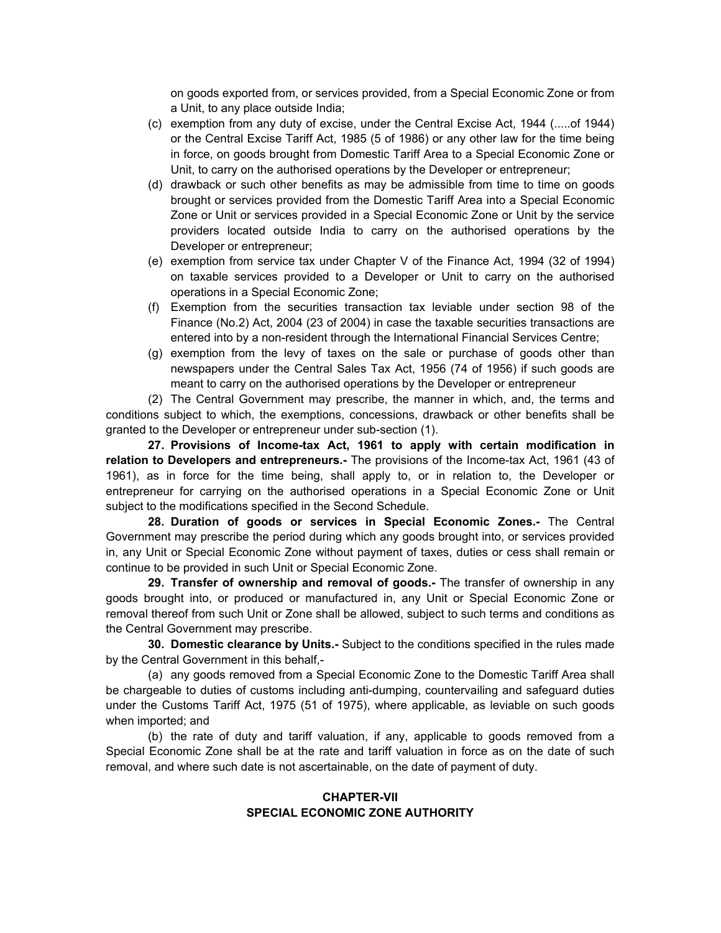on goods exported from, or services provided, from a Special Economic Zone or from a Unit, to any place outside India;

- (c) exemption from any duty of excise, under the Central Excise Act, 1944 (.....of 1944) or the Central Excise Tariff Act, 1985 (5 of 1986) or any other law for the time being in force, on goods brought from Domestic Tariff Area to a Special Economic Zone or Unit, to carry on the authorised operations by the Developer or entrepreneur;
- (d) drawback or such other benefits as may be admissible from time to time on goods brought or services provided from the Domestic Tariff Area into a Special Economic Zone or Unit or services provided in a Special Economic Zone or Unit by the service providers located outside India to carry on the authorised operations by the Developer or entrepreneur;
- (e) exemption from service tax under Chapter V of the Finance Act, 1994 (32 of 1994) on taxable services provided to a Developer or Unit to carry on the authorised operations in a Special Economic Zone;
- (f) Exemption from the securities transaction tax leviable under section 98 of the Finance (No.2) Act, 2004 (23 of 2004) in case the taxable securities transactions are entered into by a non-resident through the International Financial Services Centre;
- (g) exemption from the levy of taxes on the sale or purchase of goods other than newspapers under the Central Sales Tax Act, 1956 (74 of 1956) if such goods are meant to carry on the authorised operations by the Developer or entrepreneur

(2) The Central Government may prescribe, the manner in which, and, the terms and conditions subject to which, the exemptions, concessions, drawback or other benefits shall be granted to the Developer or entrepreneur under sub-section (1).

**27. Provisions of Income-tax Act, 1961 to apply with certain modification in relation to Developers and entrepreneurs.-** The provisions of the Income-tax Act, 1961 (43 of 1961), as in force for the time being, shall apply to, or in relation to, the Developer or entrepreneur for carrying on the authorised operations in a Special Economic Zone or Unit subject to the modifications specified in the Second Schedule.

**28. Duration of goods or services in Special Economic Zones.-** The Central Government may prescribe the period during which any goods brought into, or services provided in, any Unit or Special Economic Zone without payment of taxes, duties or cess shall remain or continue to be provided in such Unit or Special Economic Zone.

**29. Transfer of ownership and removal of goods.-** The transfer of ownership in any goods brought into, or produced or manufactured in, any Unit or Special Economic Zone or removal thereof from such Unit or Zone shall be allowed, subject to such terms and conditions as the Central Government may prescribe.

**30. Domestic clearance by Units.-** Subject to the conditions specified in the rules made by the Central Government in this behalf,-

(a) any goods removed from a Special Economic Zone to the Domestic Tariff Area shall be chargeable to duties of customs including anti-dumping, countervailing and safeguard duties under the Customs Tariff Act, 1975 (51 of 1975), where applicable, as leviable on such goods when imported; and

(b) the rate of duty and tariff valuation, if any, applicable to goods removed from a Special Economic Zone shall be at the rate and tariff valuation in force as on the date of such removal, and where such date is not ascertainable, on the date of payment of duty.

#### **CHAPTER-VII SPECIAL ECONOMIC ZONE AUTHORITY**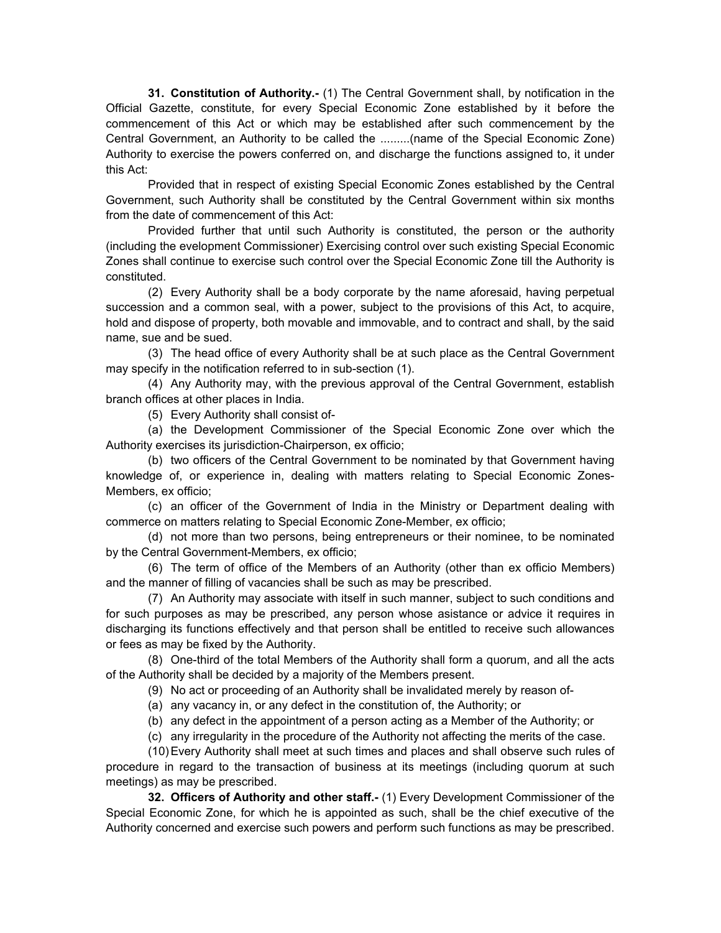**31. Constitution of Authority.-** (1) The Central Government shall, by notification in the Official Gazette, constitute, for every Special Economic Zone established by it before the commencement of this Act or which may be established after such commencement by the Central Government, an Authority to be called the .........(name of the Special Economic Zone) Authority to exercise the powers conferred on, and discharge the functions assigned to, it under this Act:

Provided that in respect of existing Special Economic Zones established by the Central Government, such Authority shall be constituted by the Central Government within six months from the date of commencement of this Act:

Provided further that until such Authority is constituted, the person or the authority (including the evelopment Commissioner) Exercising control over such existing Special Economic Zones shall continue to exercise such control over the Special Economic Zone till the Authority is constituted.

(2) Every Authority shall be a body corporate by the name aforesaid, having perpetual succession and a common seal, with a power, subject to the provisions of this Act, to acquire, hold and dispose of property, both movable and immovable, and to contract and shall, by the said name, sue and be sued.

(3) The head office of every Authority shall be at such place as the Central Government may specify in the notification referred to in sub-section (1).

(4) Any Authority may, with the previous approval of the Central Government, establish branch offices at other places in India.

(5) Every Authority shall consist of-

(a) the Development Commissioner of the Special Economic Zone over which the Authority exercises its jurisdiction-Chairperson, ex officio;

(b) two officers of the Central Government to be nominated by that Government having knowledge of, or experience in, dealing with matters relating to Special Economic Zones-Members, ex officio;

(c) an officer of the Government of India in the Ministry or Department dealing with commerce on matters relating to Special Economic Zone-Member, ex officio;

(d) not more than two persons, being entrepreneurs or their nominee, to be nominated by the Central Government-Members, ex officio;

(6) The term of office of the Members of an Authority (other than ex officio Members) and the manner of filling of vacancies shall be such as may be prescribed.

(7) An Authority may associate with itself in such manner, subject to such conditions and for such purposes as may be prescribed, any person whose asistance or advice it requires in discharging its functions effectively and that person shall be entitled to receive such allowances or fees as may be fixed by the Authority.

(8) One-third of the total Members of the Authority shall form a quorum, and all the acts of the Authority shall be decided by a majority of the Members present.

- (9) No act or proceeding of an Authority shall be invalidated merely by reason of-
- (a) any vacancy in, or any defect in the constitution of, the Authority; or
- (b) any defect in the appointment of a person acting as a Member of the Authority; or
- (c) any irregularity in the procedure of the Authority not affecting the merits of the case.

(10) Every Authority shall meet at such times and places and shall observe such rules of procedure in regard to the transaction of business at its meetings (including quorum at such meetings) as may be prescribed.

**32. Officers of Authority and other staff.-** (1) Every Development Commissioner of the Special Economic Zone, for which he is appointed as such, shall be the chief executive of the Authority concerned and exercise such powers and perform such functions as may be prescribed.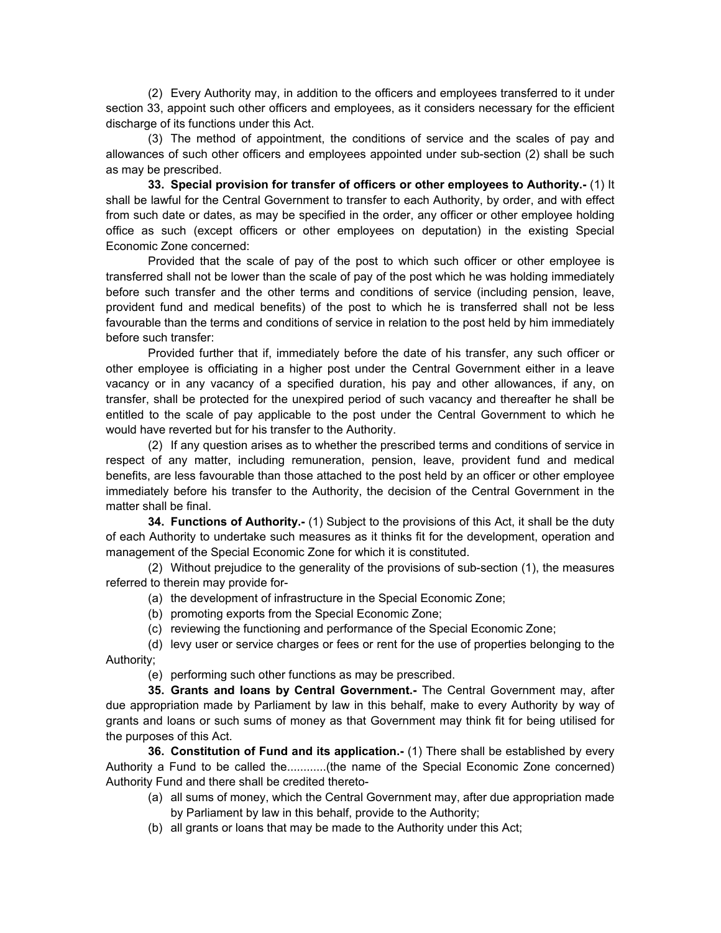(2) Every Authority may, in addition to the officers and employees transferred to it under section 33, appoint such other officers and employees, as it considers necessary for the efficient discharge of its functions under this Act.

(3) The method of appointment, the conditions of service and the scales of pay and allowances of such other officers and employees appointed under sub-section (2) shall be such as may be prescribed.

**33. Special provision for transfer of officers or other employees to Authority.-** (1) It shall be lawful for the Central Government to transfer to each Authority, by order, and with effect from such date or dates, as may be specified in the order, any officer or other employee holding office as such (except officers or other employees on deputation) in the existing Special Economic Zone concerned:

Provided that the scale of pay of the post to which such officer or other employee is transferred shall not be lower than the scale of pay of the post which he was holding immediately before such transfer and the other terms and conditions of service (including pension, leave, provident fund and medical benefits) of the post to which he is transferred shall not be less favourable than the terms and conditions of service in relation to the post held by him immediately before such transfer:

Provided further that if, immediately before the date of his transfer, any such officer or other employee is officiating in a higher post under the Central Government either in a leave vacancy or in any vacancy of a specified duration, his pay and other allowances, if any, on transfer, shall be protected for the unexpired period of such vacancy and thereafter he shall be entitled to the scale of pay applicable to the post under the Central Government to which he would have reverted but for his transfer to the Authority.

(2) If any question arises as to whether the prescribed terms and conditions of service in respect of any matter, including remuneration, pension, leave, provident fund and medical benefits, are less favourable than those attached to the post held by an officer or other employee immediately before his transfer to the Authority, the decision of the Central Government in the matter shall be final.

**34. Functions of Authority.-** (1) Subject to the provisions of this Act, it shall be the duty of each Authority to undertake such measures as it thinks fit for the development, operation and management of the Special Economic Zone for which it is constituted.

(2) Without prejudice to the generality of the provisions of sub-section (1), the measures referred to therein may provide for-

- (a) the development of infrastructure in the Special Economic Zone;
- (b) promoting exports from the Special Economic Zone;
- (c) reviewing the functioning and performance of the Special Economic Zone;

(d) levy user or service charges or fees or rent for the use of properties belonging to the Authority;

(e) performing such other functions as may be prescribed.

**35. Grants and loans by Central Government.-** The Central Government may, after due appropriation made by Parliament by law in this behalf, make to every Authority by way of grants and loans or such sums of money as that Government may think fit for being utilised for the purposes of this Act.

**36. Constitution of Fund and its application.-** (1) There shall be established by every Authority a Fund to be called the............(the name of the Special Economic Zone concerned) Authority Fund and there shall be credited thereto-

- (a) all sums of money, which the Central Government may, after due appropriation made by Parliament by law in this behalf, provide to the Authority;
- (b) all grants or loans that may be made to the Authority under this Act;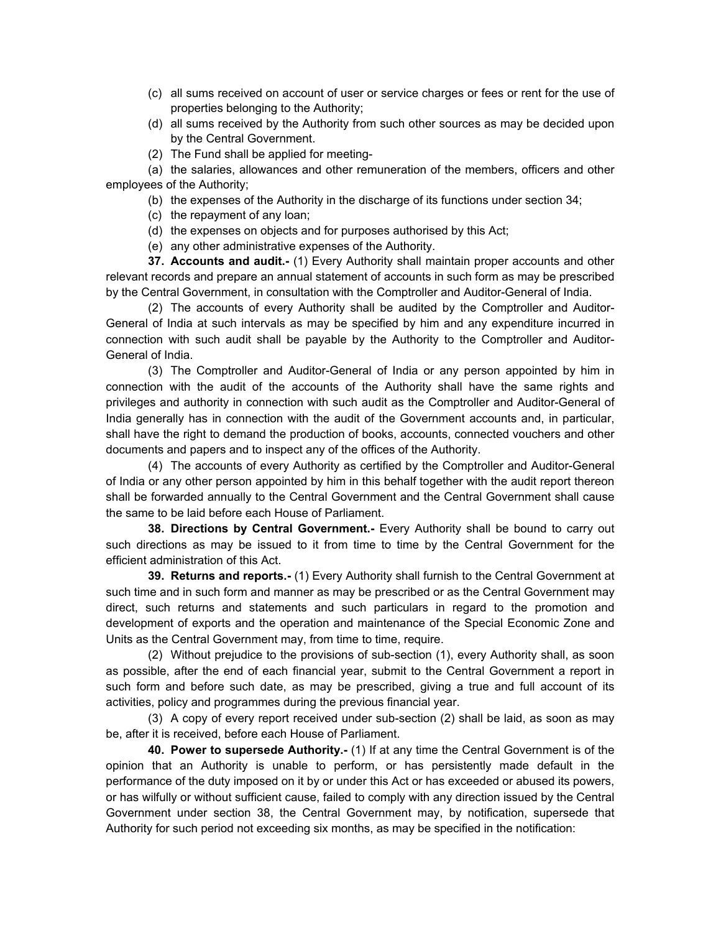- (c) all sums received on account of user or service charges or fees or rent for the use of properties belonging to the Authority;
- (d) all sums received by the Authority from such other sources as may be decided upon by the Central Government.
- (2) The Fund shall be applied for meeting-

(a) the salaries, allowances and other remuneration of the members, officers and other employees of the Authority;

- (b) the expenses of the Authority in the discharge of its functions under section 34;
- (c) the repayment of any loan;
- (d) the expenses on objects and for purposes authorised by this Act;
- (e) any other administrative expenses of the Authority.

**37. Accounts and audit.-** (1) Every Authority shall maintain proper accounts and other relevant records and prepare an annual statement of accounts in such form as may be prescribed by the Central Government, in consultation with the Comptroller and Auditor-General of India.

(2) The accounts of every Authority shall be audited by the Comptroller and Auditor-General of India at such intervals as may be specified by him and any expenditure incurred in connection with such audit shall be payable by the Authority to the Comptroller and Auditor-General of India.

(3) The Comptroller and Auditor-General of India or any person appointed by him in connection with the audit of the accounts of the Authority shall have the same rights and privileges and authority in connection with such audit as the Comptroller and Auditor-General of India generally has in connection with the audit of the Government accounts and, in particular, shall have the right to demand the production of books, accounts, connected vouchers and other documents and papers and to inspect any of the offices of the Authority.

(4) The accounts of every Authority as certified by the Comptroller and Auditor-General of India or any other person appointed by him in this behalf together with the audit report thereon shall be forwarded annually to the Central Government and the Central Government shall cause the same to be laid before each House of Parliament.

**38. Directions by Central Government.-** Every Authority shall be bound to carry out such directions as may be issued to it from time to time by the Central Government for the efficient administration of this Act.

**39. Returns and reports.-** (1) Every Authority shall furnish to the Central Government at such time and in such form and manner as may be prescribed or as the Central Government may direct, such returns and statements and such particulars in regard to the promotion and development of exports and the operation and maintenance of the Special Economic Zone and Units as the Central Government may, from time to time, require.

(2) Without prejudice to the provisions of sub-section (1), every Authority shall, as soon as possible, after the end of each financial year, submit to the Central Government a report in such form and before such date, as may be prescribed, giving a true and full account of its activities, policy and programmes during the previous financial year.

(3) A copy of every report received under sub-section (2) shall be laid, as soon as may be, after it is received, before each House of Parliament.

**40. Power to supersede Authority.-** (1) If at any time the Central Government is of the opinion that an Authority is unable to perform, or has persistently made default in the performance of the duty imposed on it by or under this Act or has exceeded or abused its powers, or has wilfully or without sufficient cause, failed to comply with any direction issued by the Central Government under section 38, the Central Government may, by notification, supersede that Authority for such period not exceeding six months, as may be specified in the notification: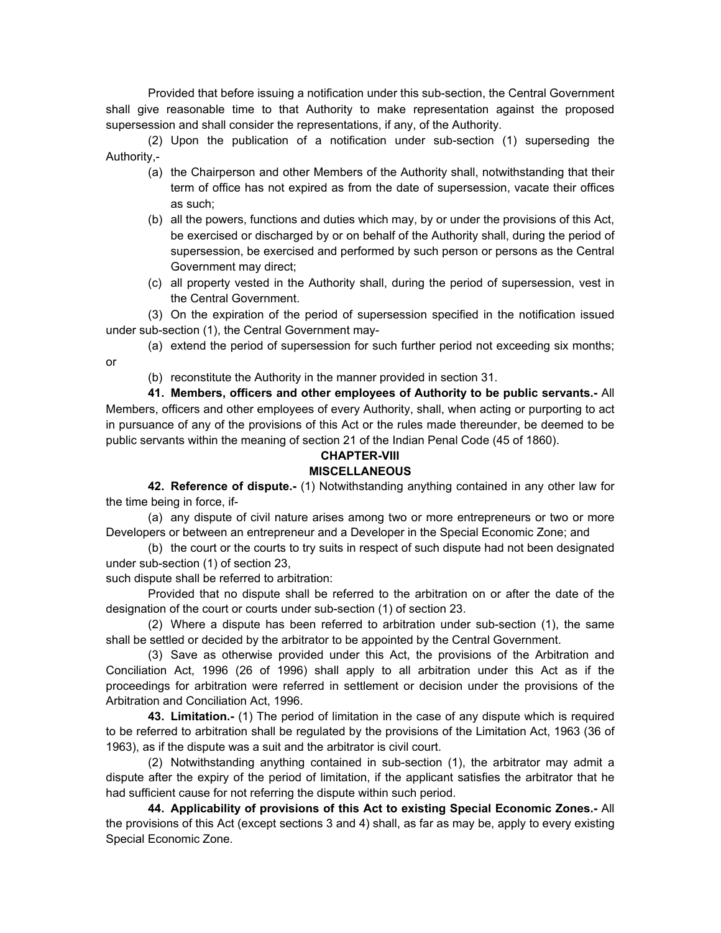Provided that before issuing a notification under this sub-section, the Central Government shall give reasonable time to that Authority to make representation against the proposed supersession and shall consider the representations, if any, of the Authority.

(2) Upon the publication of a notification under sub-section (1) superseding the Authority,-

- (a) the Chairperson and other Members of the Authority shall, notwithstanding that their term of office has not expired as from the date of supersession, vacate their offices as such;
- (b) all the powers, functions and duties which may, by or under the provisions of this Act, be exercised or discharged by or on behalf of the Authority shall, during the period of supersession, be exercised and performed by such person or persons as the Central Government may direct;
- (c) all property vested in the Authority shall, during the period of supersession, vest in the Central Government.

(3) On the expiration of the period of supersession specified in the notification issued under sub-section (1), the Central Government may-

(a) extend the period of supersession for such further period not exceeding six months; or

(b) reconstitute the Authority in the manner provided in section 31.

**41. Members, officers and other employees of Authority to be public servants.-** All Members, officers and other employees of every Authority, shall, when acting or purporting to act in pursuance of any of the provisions of this Act or the rules made thereunder, be deemed to be public servants within the meaning of section 21 of the Indian Penal Code (45 of 1860).

#### **CHAPTER-VIII MISCELLANEOUS**

**42. Reference of dispute.-** (1) Notwithstanding anything contained in any other law for the time being in force, if-

(a) any dispute of civil nature arises among two or more entrepreneurs or two or more Developers or between an entrepreneur and a Developer in the Special Economic Zone; and

(b) the court or the courts to try suits in respect of such dispute had not been designated under sub-section (1) of section 23,

such dispute shall be referred to arbitration:

Provided that no dispute shall be referred to the arbitration on or after the date of the designation of the court or courts under sub-section (1) of section 23.

(2) Where a dispute has been referred to arbitration under sub-section (1), the same shall be settled or decided by the arbitrator to be appointed by the Central Government.

(3) Save as otherwise provided under this Act, the provisions of the Arbitration and Conciliation Act, 1996 (26 of 1996) shall apply to all arbitration under this Act as if the proceedings for arbitration were referred in settlement or decision under the provisions of the Arbitration and Conciliation Act, 1996.

 **43. Limitation.-** (1) The period of limitation in the case of any dispute which is required to be referred to arbitration shall be regulated by the provisions of the Limitation Act, 1963 (36 of 1963), as if the dispute was a suit and the arbitrator is civil court.

(2) Notwithstanding anything contained in sub-section (1), the arbitrator may admit a dispute after the expiry of the period of limitation, if the applicant satisfies the arbitrator that he had sufficient cause for not referring the dispute within such period.

**44. Applicability of provisions of this Act to existing Special Economic Zones.-** All the provisions of this Act (except sections 3 and 4) shall, as far as may be, apply to every existing Special Economic Zone.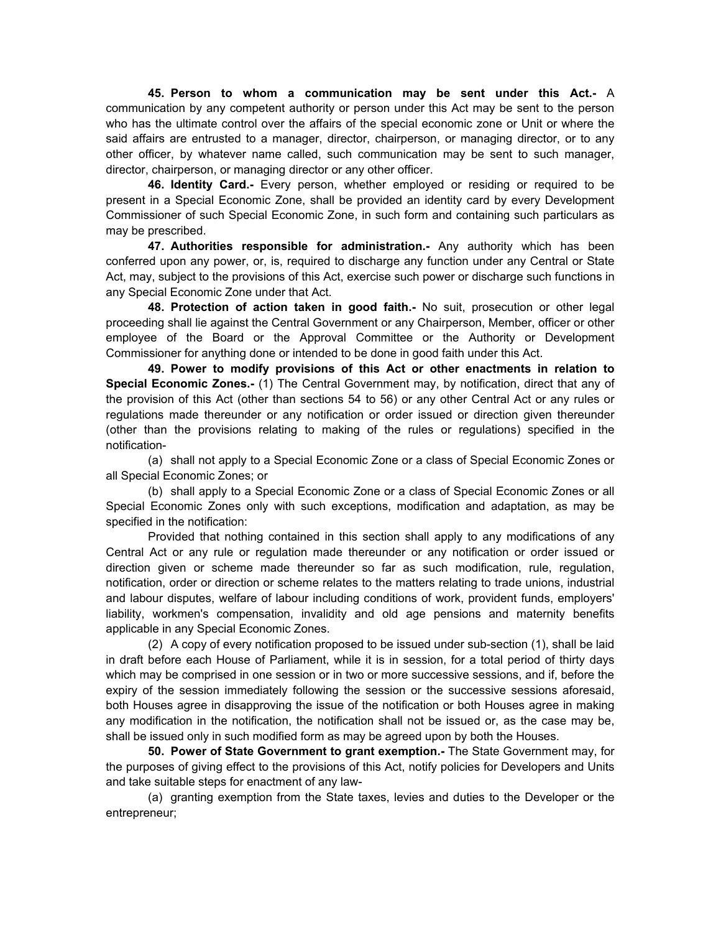**45. Person to whom a communication may be sent under this Act.-** A communication by any competent authority or person under this Act may be sent to the person who has the ultimate control over the affairs of the special economic zone or Unit or where the said affairs are entrusted to a manager, director, chairperson, or managing director, or to any other officer, by whatever name called, such communication may be sent to such manager, director, chairperson, or managing director or any other officer.

 **46. Identity Card.-** Every person, whether employed or residing or required to be present in a Special Economic Zone, shall be provided an identity card by every Development Commissioner of such Special Economic Zone, in such form and containing such particulars as may be prescribed.

**47. Authorities responsible for administration.-** Any authority which has been conferred upon any power, or, is, required to discharge any function under any Central or State Act, may, subject to the provisions of this Act, exercise such power or discharge such functions in any Special Economic Zone under that Act.

**48. Protection of action taken in good faith.-** No suit, prosecution or other legal proceeding shall lie against the Central Government or any Chairperson, Member, officer or other employee of the Board or the Approval Committee or the Authority or Development Commissioner for anything done or intended to be done in good faith under this Act.

**49. Power to modify provisions of this Act or other enactments in relation to Special Economic Zones.-** (1) The Central Government may, by notification, direct that any of the provision of this Act (other than sections 54 to 56) or any other Central Act or any rules or regulations made thereunder or any notification or order issued or direction given thereunder (other than the provisions relating to making of the rules or regulations) specified in the notification-

(a) shall not apply to a Special Economic Zone or a class of Special Economic Zones or all Special Economic Zones; or

(b) shall apply to a Special Economic Zone or a class of Special Economic Zones or all Special Economic Zones only with such exceptions, modification and adaptation, as may be specified in the notification:

Provided that nothing contained in this section shall apply to any modifications of any Central Act or any rule or regulation made thereunder or any notification or order issued or direction given or scheme made thereunder so far as such modification, rule, regulation, notification, order or direction or scheme relates to the matters relating to trade unions, industrial and labour disputes, welfare of labour including conditions of work, provident funds, employers' liability, workmen's compensation, invalidity and old age pensions and maternity benefits applicable in any Special Economic Zones.

(2) A copy of every notification proposed to be issued under sub-section (1), shall be laid in draft before each House of Parliament, while it is in session, for a total period of thirty days which may be comprised in one session or in two or more successive sessions, and if, before the expiry of the session immediately following the session or the successive sessions aforesaid, both Houses agree in disapproving the issue of the notification or both Houses agree in making any modification in the notification, the notification shall not be issued or, as the case may be, shall be issued only in such modified form as may be agreed upon by both the Houses.

**50. Power of State Government to grant exemption.-** The State Government may, for the purposes of giving effect to the provisions of this Act, notify policies for Developers and Units and take suitable steps for enactment of any law-

(a) granting exemption from the State taxes, levies and duties to the Developer or the entrepreneur;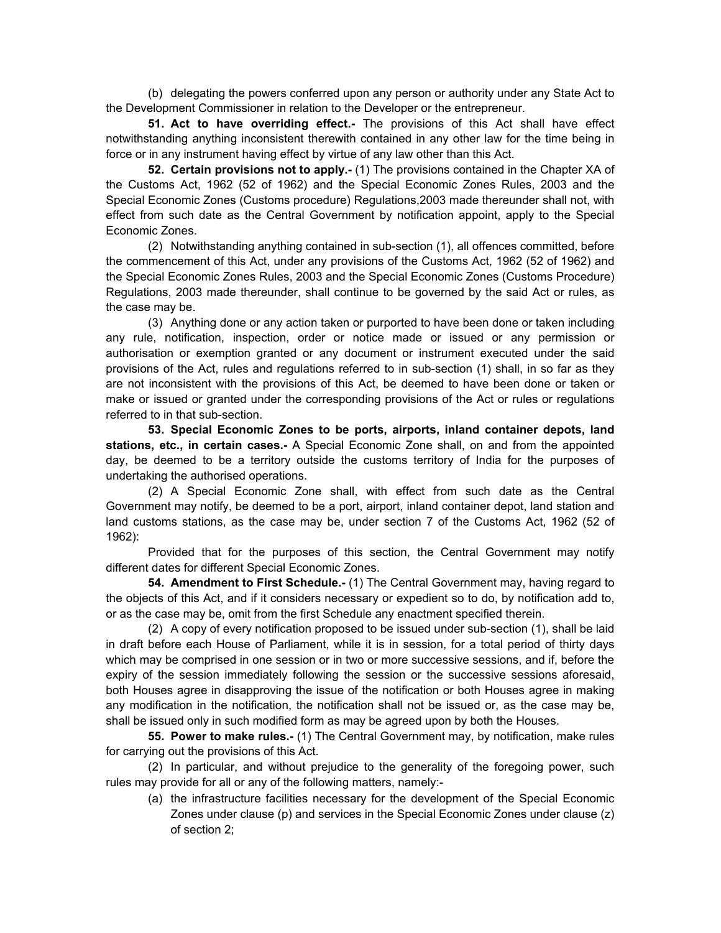(b) delegating the powers conferred upon any person or authority under any State Act to the Development Commissioner in relation to the Developer or the entrepreneur.

**51. Act to have overriding effect.-** The provisions of this Act shall have effect notwithstanding anything inconsistent therewith contained in any other law for the time being in force or in any instrument having effect by virtue of any law other than this Act.

**52. Certain provisions not to apply.-** (1) The provisions contained in the Chapter XA of the Customs Act, 1962 (52 of 1962) and the Special Economic Zones Rules, 2003 and the Special Economic Zones (Customs procedure) Regulations,2003 made thereunder shall not, with effect from such date as the Central Government by notification appoint, apply to the Special Economic Zones.

(2) Notwithstanding anything contained in sub-section (1), all offences committed, before the commencement of this Act, under any provisions of the Customs Act, 1962 (52 of 1962) and the Special Economic Zones Rules, 2003 and the Special Economic Zones (Customs Procedure) Regulations, 2003 made thereunder, shall continue to be governed by the said Act or rules, as the case may be.

(3) Anything done or any action taken or purported to have been done or taken including any rule, notification, inspection, order or notice made or issued or any permission or authorisation or exemption granted or any document or instrument executed under the said provisions of the Act, rules and regulations referred to in sub-section (1) shall, in so far as they are not inconsistent with the provisions of this Act, be deemed to have been done or taken or make or issued or granted under the corresponding provisions of the Act or rules or regulations referred to in that sub-section.

**53. Special Economic Zones to be ports, airports, inland container depots, land stations, etc., in certain cases.-** A Special Economic Zone shall, on and from the appointed day, be deemed to be a territory outside the customs territory of India for the purposes of undertaking the authorised operations.

(2) A Special Economic Zone shall, with effect from such date as the Central Government may notify, be deemed to be a port, airport, inland container depot, land station and land customs stations, as the case may be, under section 7 of the Customs Act, 1962 (52 of 1962):

Provided that for the purposes of this section, the Central Government may notify different dates for different Special Economic Zones.

**54. Amendment to First Schedule.-** (1) The Central Government may, having regard to the objects of this Act, and if it considers necessary or expedient so to do, by notification add to, or as the case may be, omit from the first Schedule any enactment specified therein.

(2) A copy of every notification proposed to be issued under sub-section (1), shall be laid in draft before each House of Parliament, while it is in session, for a total period of thirty days which may be comprised in one session or in two or more successive sessions, and if, before the expiry of the session immediately following the session or the successive sessions aforesaid, both Houses agree in disapproving the issue of the notification or both Houses agree in making any modification in the notification, the notification shall not be issued or, as the case may be, shall be issued only in such modified form as may be agreed upon by both the Houses.

**55. Power to make rules.-** (1) The Central Government may, by notification, make rules for carrying out the provisions of this Act.

(2) In particular, and without prejudice to the generality of the foregoing power, such rules may provide for all or any of the following matters, namely:-

(a) the infrastructure facilities necessary for the development of the Special Economic Zones under clause (p) and services in the Special Economic Zones under clause (z) of section 2;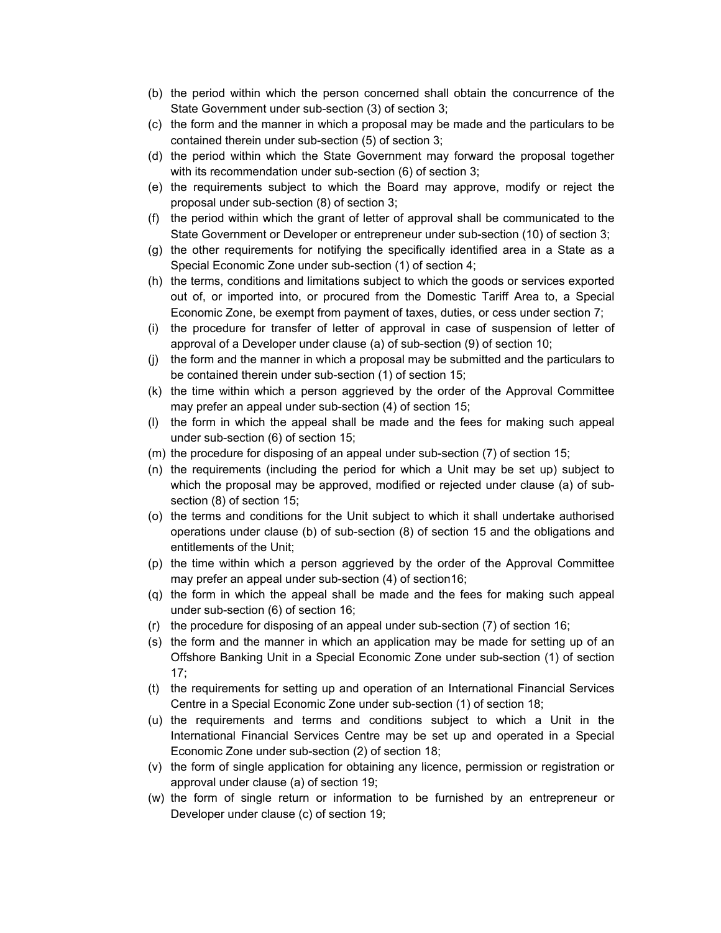- (b) the period within which the person concerned shall obtain the concurrence of the State Government under sub-section (3) of section 3;
- (c) the form and the manner in which a proposal may be made and the particulars to be contained therein under sub-section (5) of section 3;
- (d) the period within which the State Government may forward the proposal together with its recommendation under sub-section (6) of section 3;
- (e) the requirements subject to which the Board may approve, modify or reject the proposal under sub-section (8) of section 3;
- (f) the period within which the grant of letter of approval shall be communicated to the State Government or Developer or entrepreneur under sub-section (10) of section 3;
- (g) the other requirements for notifying the specifically identified area in a State as a Special Economic Zone under sub-section (1) of section 4;
- (h) the terms, conditions and limitations subject to which the goods or services exported out of, or imported into, or procured from the Domestic Tariff Area to, a Special Economic Zone, be exempt from payment of taxes, duties, or cess under section 7;
- (i) the procedure for transfer of letter of approval in case of suspension of letter of approval of a Developer under clause (a) of sub-section (9) of section 10;
- (j) the form and the manner in which a proposal may be submitted and the particulars to be contained therein under sub-section (1) of section 15;
- (k) the time within which a person aggrieved by the order of the Approval Committee may prefer an appeal under sub-section (4) of section 15;
- (l) the form in which the appeal shall be made and the fees for making such appeal under sub-section (6) of section 15;
- (m) the procedure for disposing of an appeal under sub-section (7) of section 15;
- (n) the requirements (including the period for which a Unit may be set up) subject to which the proposal may be approved, modified or rejected under clause (a) of subsection (8) of section 15;
- (o) the terms and conditions for the Unit subject to which it shall undertake authorised operations under clause (b) of sub-section (8) of section 15 and the obligations and entitlements of the Unit;
- (p) the time within which a person aggrieved by the order of the Approval Committee may prefer an appeal under sub-section (4) of section16;
- (q) the form in which the appeal shall be made and the fees for making such appeal under sub-section (6) of section 16;
- (r) the procedure for disposing of an appeal under sub-section (7) of section 16;
- (s) the form and the manner in which an application may be made for setting up of an Offshore Banking Unit in a Special Economic Zone under sub-section (1) of section 17;
- (t) the requirements for setting up and operation of an International Financial Services Centre in a Special Economic Zone under sub-section (1) of section 18;
- (u) the requirements and terms and conditions subject to which a Unit in the International Financial Services Centre may be set up and operated in a Special Economic Zone under sub-section (2) of section 18;
- (v) the form of single application for obtaining any licence, permission or registration or approval under clause (a) of section 19;
- (w) the form of single return or information to be furnished by an entrepreneur or Developer under clause (c) of section 19;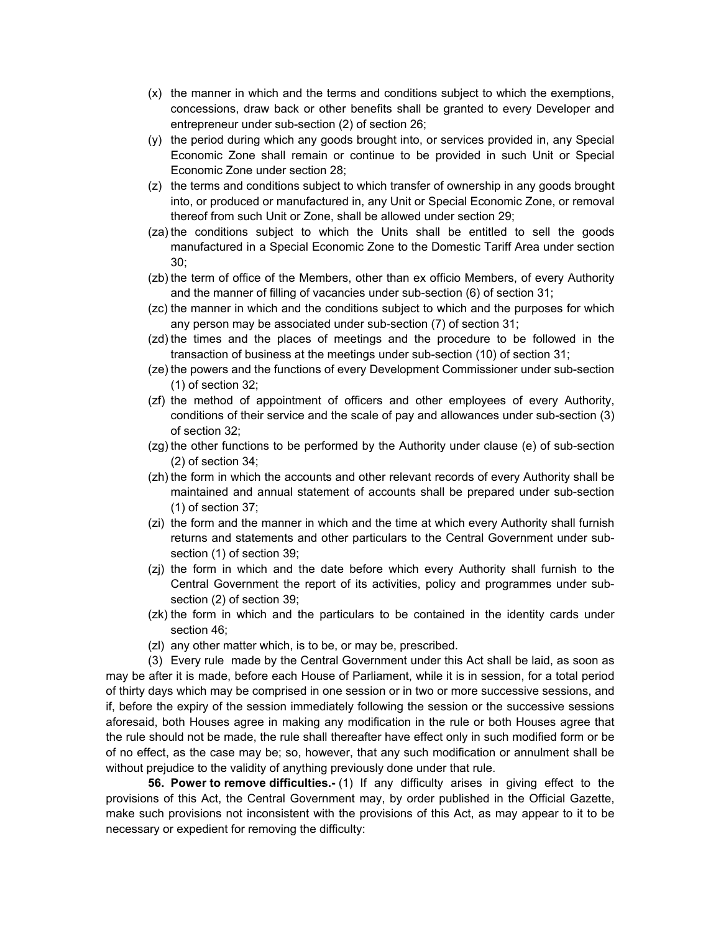- (x) the manner in which and the terms and conditions subject to which the exemptions, concessions, draw back or other benefits shall be granted to every Developer and entrepreneur under sub-section (2) of section 26;
- (y) the period during which any goods brought into, or services provided in, any Special Economic Zone shall remain or continue to be provided in such Unit or Special Economic Zone under section 28;
- (z) the terms and conditions subject to which transfer of ownership in any goods brought into, or produced or manufactured in, any Unit or Special Economic Zone, or removal thereof from such Unit or Zone, shall be allowed under section 29;
- (za) the conditions subject to which the Units shall be entitled to sell the goods manufactured in a Special Economic Zone to the Domestic Tariff Area under section 30;
- (zb) the term of office of the Members, other than ex officio Members, of every Authority and the manner of filling of vacancies under sub-section (6) of section 31;
- (zc) the manner in which and the conditions subject to which and the purposes for which any person may be associated under sub-section (7) of section 31;
- (zd) the times and the places of meetings and the procedure to be followed in the transaction of business at the meetings under sub-section (10) of section 31;
- (ze) the powers and the functions of every Development Commissioner under sub-section (1) of section 32;
- (zf) the method of appointment of officers and other employees of every Authority, conditions of their service and the scale of pay and allowances under sub-section (3) of section 32;
- (zg) the other functions to be performed by the Authority under clause (e) of sub-section (2) of section 34;
- (zh) the form in which the accounts and other relevant records of every Authority shall be maintained and annual statement of accounts shall be prepared under sub-section (1) of section 37;
- (zi) the form and the manner in which and the time at which every Authority shall furnish returns and statements and other particulars to the Central Government under subsection (1) of section 39;
- (zj) the form in which and the date before which every Authority shall furnish to the Central Government the report of its activities, policy and programmes under subsection (2) of section 39;
- (zk) the form in which and the particulars to be contained in the identity cards under section 46;
- (zl) any other matter which, is to be, or may be, prescribed.

(3) Every rule made by the Central Government under this Act shall be laid, as soon as may be after it is made, before each House of Parliament, while it is in session, for a total period of thirty days which may be comprised in one session or in two or more successive sessions, and if, before the expiry of the session immediately following the session or the successive sessions aforesaid, both Houses agree in making any modification in the rule or both Houses agree that the rule should not be made, the rule shall thereafter have effect only in such modified form or be of no effect, as the case may be; so, however, that any such modification or annulment shall be without prejudice to the validity of anything previously done under that rule.

**56. Power to remove difficulties.-** (1) If any difficulty arises in giving effect to the provisions of this Act, the Central Government may, by order published in the Official Gazette, make such provisions not inconsistent with the provisions of this Act, as may appear to it to be necessary or expedient for removing the difficulty: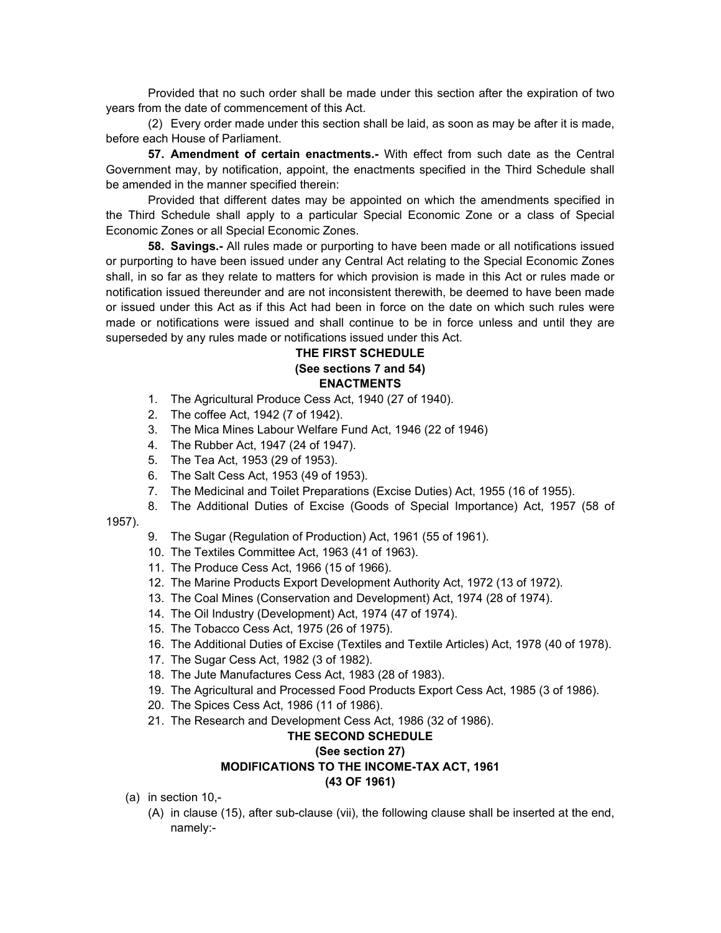Provided that no such order shall be made under this section after the expiration of two years from the date of commencement of this Act.

(2) Every order made under this section shall be laid, as soon as may be after it is made, before each House of Parliament.

**57. Amendment of certain enactments.-** With effect from such date as the Central Government may, by notification, appoint, the enactments specified in the Third Schedule shall be amended in the manner specified therein:

Provided that different dates may be appointed on which the amendments specified in the Third Schedule shall apply to a particular Special Economic Zone or a class of Special Economic Zones or all Special Economic Zones.

 **58. Savings.-** All rules made or purporting to have been made or all notifications issued or purporting to have been issued under any Central Act relating to the Special Economic Zones shall, in so far as they relate to matters for which provision is made in this Act or rules made or notification issued thereunder and are not inconsistent therewith, be deemed to have been made or issued under this Act as if this Act had been in force on the date on which such rules were made or notifications were issued and shall continue to be in force unless and until they are superseded by any rules made or notifications issued under this Act.

# **THE FIRST SCHEDULE (See sections 7 and 54) ENACTMENTS**

- 1. The Agricultural Produce Cess Act, 1940 (27 of 1940).
- 2. The coffee Act, 1942 (7 of 1942).
- 3. The Mica Mines Labour Welfare Fund Act, 1946 (22 of 1946)
- 4. The Rubber Act, 1947 (24 of 1947).
- 5. The Tea Act, 1953 (29 of 1953).
- 6. The Salt Cess Act, 1953 (49 of 1953).
- 7. The Medicinal and Toilet Preparations (Excise Duties) Act, 1955 (16 of 1955).
- 8. The Additional Duties of Excise (Goods of Special Importance) Act, 1957 (58 of

1957).

- 9. The Sugar (Regulation of Production) Act, 1961 (55 of 1961).
- 10. The Textiles Committee Act, 1963 (41 of 1963).
- 11. The Produce Cess Act, 1966 (15 of 1966).
- 12. The Marine Products Export Development Authority Act, 1972 (13 of 1972).
- 13. The Coal Mines (Conservation and Development) Act, 1974 (28 of 1974).
- 14. The Oil Industry (Development) Act, 1974 (47 of 1974).
- 15. The Tobacco Cess Act, 1975 (26 of 1975).
- 16. The Additional Duties of Excise (Textiles and Textile Articles) Act, 1978 (40 of 1978).
- 17. The Sugar Cess Act, 1982 (3 of 1982).
- 18. The Jute Manufactures Cess Act, 1983 (28 of 1983).
- 19. The Agricultural and Processed Food Products Export Cess Act, 1985 (3 of 1986).
- 20. The Spices Cess Act, 1986 (11 of 1986).
- 21. The Research and Development Cess Act, 1986 (32 of 1986).

# **THE SECOND SCHEDULE**

#### **(See section 27)**

## **MODIFICATIONS TO THE INCOME-TAX ACT, 1961**

**(43 OF 1961)** 

- (a) in section 10,-
	- (A) in clause (15), after sub-clause (vii), the following clause shall be inserted at the end, namely:-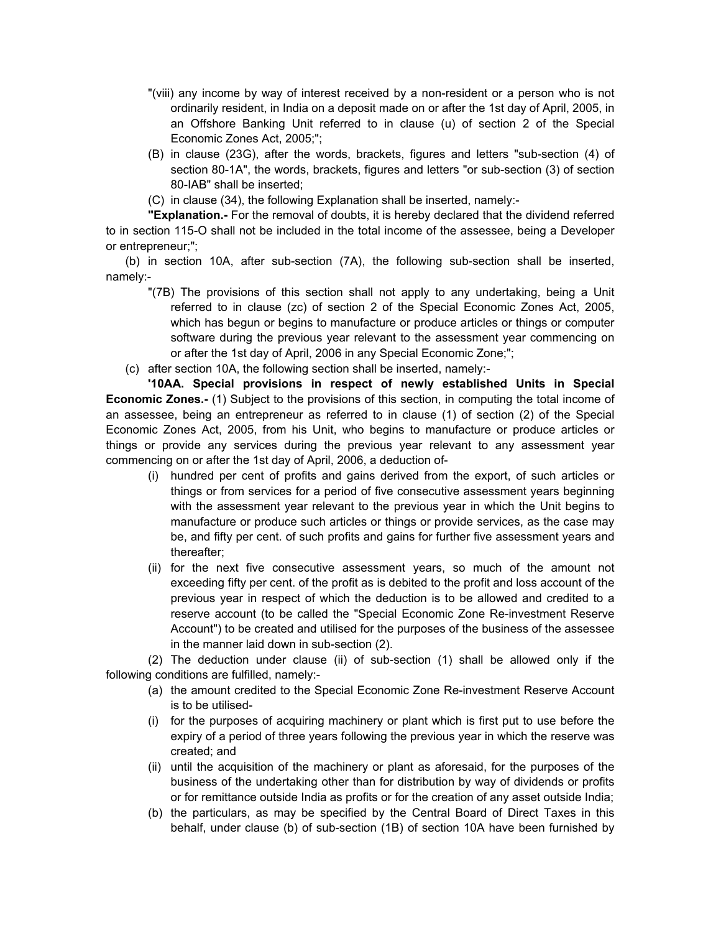- "(viii) any income by way of interest received by a non-resident or a person who is not ordinarily resident, in India on a deposit made on or after the 1st day of April, 2005, in an Offshore Banking Unit referred to in clause (u) of section 2 of the Special Economic Zones Act, 2005;";
- (B) in clause (23G), after the words, brackets, figures and letters "sub-section (4) of section 80-1A", the words, brackets, figures and letters "or sub-section (3) of section 80-IAB" shall be inserted;
- (C) in clause (34), the following Explanation shall be inserted, namely:-

**"Explanation.-** For the removal of doubts, it is hereby declared that the dividend referred to in section 115-O shall not be included in the total income of the assessee, being a Developer or entrepreneur;";

(b) in section 10A, after sub-section (7A), the following sub-section shall be inserted, namely:-

- "(7B) The provisions of this section shall not apply to any undertaking, being a Unit referred to in clause (zc) of section 2 of the Special Economic Zones Act, 2005, which has begun or begins to manufacture or produce articles or things or computer software during the previous year relevant to the assessment year commencing on or after the 1st day of April, 2006 in any Special Economic Zone;";
- (c) after section 10A, the following section shall be inserted, namely:-

**'10AA. Special provisions in respect of newly established Units in Special Economic Zones.-** (1) Subject to the provisions of this section, in computing the total income of an assessee, being an entrepreneur as referred to in clause (1) of section (2) of the Special Economic Zones Act, 2005, from his Unit, who begins to manufacture or produce articles or things or provide any services during the previous year relevant to any assessment year commencing on or after the 1st day of April, 2006, a deduction of-

- (i) hundred per cent of profits and gains derived from the export, of such articles or things or from services for a period of five consecutive assessment years beginning with the assessment year relevant to the previous year in which the Unit begins to manufacture or produce such articles or things or provide services, as the case may be, and fifty per cent. of such profits and gains for further five assessment years and thereafter;
- (ii) for the next five consecutive assessment years, so much of the amount not exceeding fifty per cent. of the profit as is debited to the profit and loss account of the previous year in respect of which the deduction is to be allowed and credited to a reserve account (to be called the "Special Economic Zone Re-investment Reserve Account") to be created and utilised for the purposes of the business of the assessee in the manner laid down in sub-section (2).

(2) The deduction under clause (ii) of sub-section (1) shall be allowed only if the following conditions are fulfilled, namely:-

- (a) the amount credited to the Special Economic Zone Re-investment Reserve Account is to be utilised-
- (i) for the purposes of acquiring machinery or plant which is first put to use before the expiry of a period of three years following the previous year in which the reserve was created; and
- (ii) until the acquisition of the machinery or plant as aforesaid, for the purposes of the business of the undertaking other than for distribution by way of dividends or profits or for remittance outside India as profits or for the creation of any asset outside India;
- (b) the particulars, as may be specified by the Central Board of Direct Taxes in this behalf, under clause (b) of sub-section (1B) of section 10A have been furnished by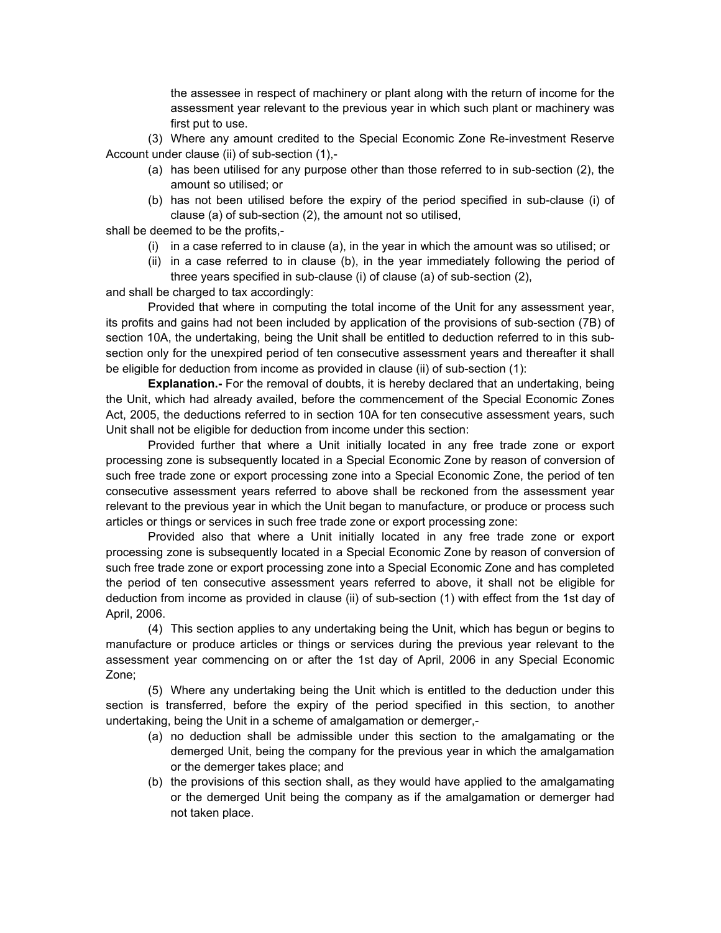the assessee in respect of machinery or plant along with the return of income for the assessment year relevant to the previous year in which such plant or machinery was first put to use.

(3) Where any amount credited to the Special Economic Zone Re-investment Reserve Account under clause (ii) of sub-section (1),-

- (a) has been utilised for any purpose other than those referred to in sub-section (2), the amount so utilised; or
- (b) has not been utilised before the expiry of the period specified in sub-clause (i) of clause (a) of sub-section (2), the amount not so utilised,

shall be deemed to be the profits,-

- (i) in a case referred to in clause (a), in the year in which the amount was so utilised; or
- (ii) in a case referred to in clause (b), in the year immediately following the period of three years specified in sub-clause (i) of clause (a) of sub-section (2),

and shall be charged to tax accordingly:

Provided that where in computing the total income of the Unit for any assessment year, its profits and gains had not been included by application of the provisions of sub-section (7B) of section 10A, the undertaking, being the Unit shall be entitled to deduction referred to in this subsection only for the unexpired period of ten consecutive assessment years and thereafter it shall be eligible for deduction from income as provided in clause (ii) of sub-section (1):

**Explanation.**- For the removal of doubts, it is hereby declared that an undertaking, being the Unit, which had already availed, before the commencement of the Special Economic Zones Act, 2005, the deductions referred to in section 10A for ten consecutive assessment years, such Unit shall not be eligible for deduction from income under this section:

Provided further that where a Unit initially located in any free trade zone or export processing zone is subsequently located in a Special Economic Zone by reason of conversion of such free trade zone or export processing zone into a Special Economic Zone, the period of ten consecutive assessment years referred to above shall be reckoned from the assessment year relevant to the previous year in which the Unit began to manufacture, or produce or process such articles or things or services in such free trade zone or export processing zone:

Provided also that where a Unit initially located in any free trade zone or export processing zone is subsequently located in a Special Economic Zone by reason of conversion of such free trade zone or export processing zone into a Special Economic Zone and has completed the period of ten consecutive assessment years referred to above, it shall not be eligible for deduction from income as provided in clause (ii) of sub-section (1) with effect from the 1st day of April, 2006.

(4) This section applies to any undertaking being the Unit, which has begun or begins to manufacture or produce articles or things or services during the previous year relevant to the assessment year commencing on or after the 1st day of April, 2006 in any Special Economic Zone;

(5) Where any undertaking being the Unit which is entitled to the deduction under this section is transferred, before the expiry of the period specified in this section, to another undertaking, being the Unit in a scheme of amalgamation or demerger,-

- (a) no deduction shall be admissible under this section to the amalgamating or the demerged Unit, being the company for the previous year in which the amalgamation or the demerger takes place; and
- (b) the provisions of this section shall, as they would have applied to the amalgamating or the demerged Unit being the company as if the amalgamation or demerger had not taken place.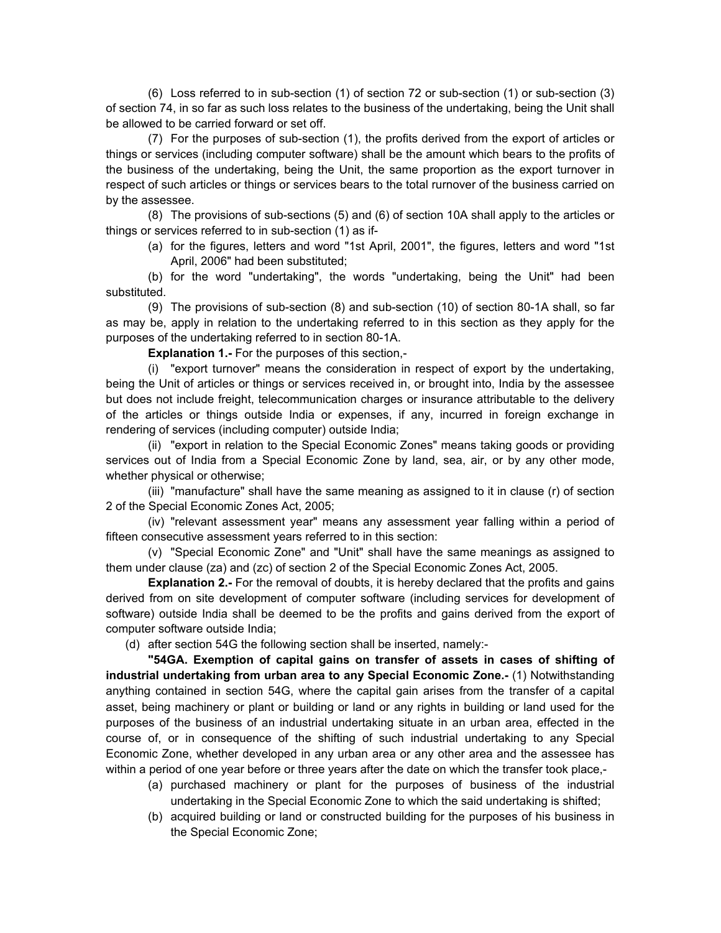(6) Loss referred to in sub-section (1) of section 72 or sub-section (1) or sub-section (3) of section 74, in so far as such loss relates to the business of the undertaking, being the Unit shall be allowed to be carried forward or set off.

(7) For the purposes of sub-section (1), the profits derived from the export of articles or things or services (including computer software) shall be the amount which bears to the profits of the business of the undertaking, being the Unit, the same proportion as the export turnover in respect of such articles or things or services bears to the total rurnover of the business carried on by the assessee.

(8) The provisions of sub-sections (5) and (6) of section 10A shall apply to the articles or things or services referred to in sub-section (1) as if-

(a) for the figures, letters and word "1st April, 2001", the figures, letters and word "1st April, 2006" had been substituted;

(b) for the word "undertaking", the words "undertaking, being the Unit" had been substituted.

(9) The provisions of sub-section (8) and sub-section (10) of section 80-1A shall, so far as may be, apply in relation to the undertaking referred to in this section as they apply for the purposes of the undertaking referred to in section 80-1A.

 **Explanation 1.-** For the purposes of this section,-

(i) "export turnover" means the consideration in respect of export by the undertaking, being the Unit of articles or things or services received in, or brought into, India by the assessee but does not include freight, telecommunication charges or insurance attributable to the delivery of the articles or things outside India or expenses, if any, incurred in foreign exchange in rendering of services (including computer) outside India;

(ii) "export in relation to the Special Economic Zones" means taking goods or providing services out of India from a Special Economic Zone by land, sea, air, or by any other mode, whether physical or otherwise;

(iii) "manufacture" shall have the same meaning as assigned to it in clause (r) of section 2 of the Special Economic Zones Act, 2005;

(iv) "relevant assessment year" means any assessment year falling within a period of fifteen consecutive assessment years referred to in this section:

(v) "Special Economic Zone" and "Unit" shall have the same meanings as assigned to them under clause (za) and (zc) of section 2 of the Special Economic Zones Act, 2005.

**Explanation 2.-** For the removal of doubts, it is hereby declared that the profits and gains derived from on site development of computer software (including services for development of software) outside India shall be deemed to be the profits and gains derived from the export of computer software outside India;

(d) after section 54G the following section shall be inserted, namely:-

**"54GA. Exemption of capital gains on transfer of assets in cases of shifting of industrial undertaking from urban area to any Special Economic Zone.-** (1) Notwithstanding anything contained in section 54G, where the capital gain arises from the transfer of a capital asset, being machinery or plant or building or land or any rights in building or land used for the purposes of the business of an industrial undertaking situate in an urban area, effected in the course of, or in consequence of the shifting of such industrial undertaking to any Special Economic Zone, whether developed in any urban area or any other area and the assessee has within a period of one year before or three years after the date on which the transfer took place,-

- (a) purchased machinery or plant for the purposes of business of the industrial undertaking in the Special Economic Zone to which the said undertaking is shifted;
- (b) acquired building or land or constructed building for the purposes of his business in the Special Economic Zone;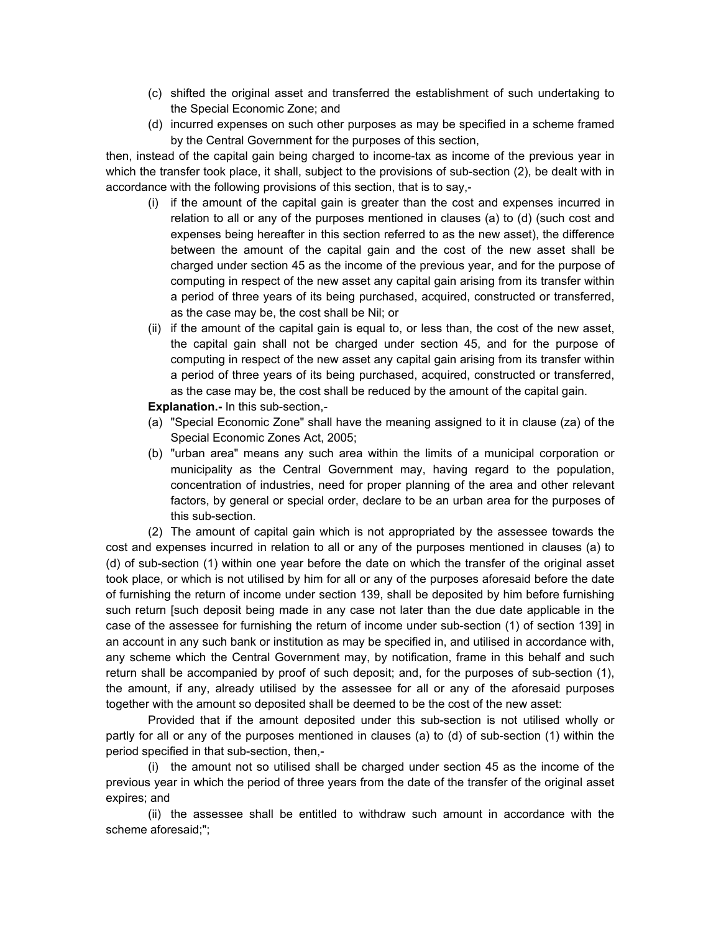- (c) shifted the original asset and transferred the establishment of such undertaking to the Special Economic Zone; and
- (d) incurred expenses on such other purposes as may be specified in a scheme framed by the Central Government for the purposes of this section,

then, instead of the capital gain being charged to income-tax as income of the previous year in which the transfer took place, it shall, subject to the provisions of sub-section (2), be dealt with in accordance with the following provisions of this section, that is to say,-

- (i) if the amount of the capital gain is greater than the cost and expenses incurred in relation to all or any of the purposes mentioned in clauses (a) to (d) (such cost and expenses being hereafter in this section referred to as the new asset), the difference between the amount of the capital gain and the cost of the new asset shall be charged under section 45 as the income of the previous year, and for the purpose of computing in respect of the new asset any capital gain arising from its transfer within a period of three years of its being purchased, acquired, constructed or transferred, as the case may be, the cost shall be Nil; or
- (ii) if the amount of the capital gain is equal to, or less than, the cost of the new asset, the capital gain shall not be charged under section 45, and for the purpose of computing in respect of the new asset any capital gain arising from its transfer within a period of three years of its being purchased, acquired, constructed or transferred, as the case may be, the cost shall be reduced by the amount of the capital gain.

#### **Explanation.-** In this sub-section,-

- (a) "Special Economic Zone" shall have the meaning assigned to it in clause (za) of the Special Economic Zones Act, 2005;
- (b) "urban area" means any such area within the limits of a municipal corporation or municipality as the Central Government may, having regard to the population, concentration of industries, need for proper planning of the area and other relevant factors, by general or special order, declare to be an urban area for the purposes of this sub-section.

(2) The amount of capital gain which is not appropriated by the assessee towards the cost and expenses incurred in relation to all or any of the purposes mentioned in clauses (a) to (d) of sub-section (1) within one year before the date on which the transfer of the original asset took place, or which is not utilised by him for all or any of the purposes aforesaid before the date of furnishing the return of income under section 139, shall be deposited by him before furnishing such return [such deposit being made in any case not later than the due date applicable in the case of the assessee for furnishing the return of income under sub-section (1) of section 139] in an account in any such bank or institution as may be specified in, and utilised in accordance with, any scheme which the Central Government may, by notification, frame in this behalf and such return shall be accompanied by proof of such deposit; and, for the purposes of sub-section (1), the amount, if any, already utilised by the assessee for all or any of the aforesaid purposes together with the amount so deposited shall be deemed to be the cost of the new asset:

Provided that if the amount deposited under this sub-section is not utilised wholly or partly for all or any of the purposes mentioned in clauses (a) to (d) of sub-section (1) within the period specified in that sub-section, then,-

(i) the amount not so utilised shall be charged under section 45 as the income of the previous year in which the period of three years from the date of the transfer of the original asset expires; and

(ii) the assessee shall be entitled to withdraw such amount in accordance with the scheme aforesaid;";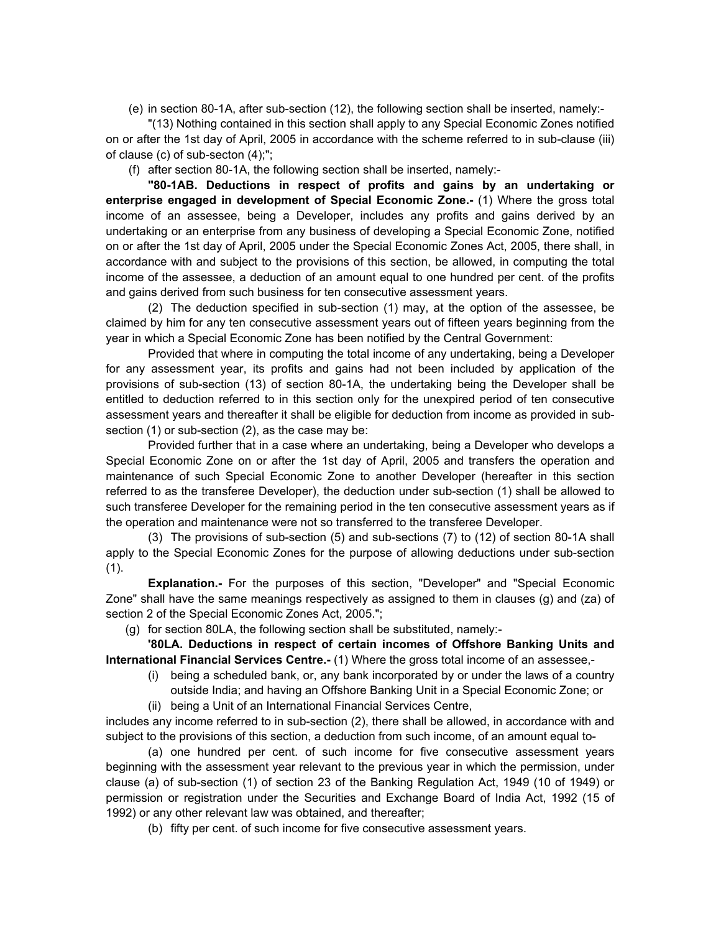(e) in section 80-1A, after sub-section (12), the following section shall be inserted, namely:-

"(13) Nothing contained in this section shall apply to any Special Economic Zones notified on or after the 1st day of April, 2005 in accordance with the scheme referred to in sub-clause (iii) of clause (c) of sub-secton (4);";

(f) after section 80-1A, the following section shall be inserted, namely:-

**"80-1AB. Deductions in respect of profits and gains by an undertaking or enterprise engaged in development of Special Economic Zone.-** (1) Where the gross total income of an assessee, being a Developer, includes any profits and gains derived by an undertaking or an enterprise from any business of developing a Special Economic Zone, notified on or after the 1st day of April, 2005 under the Special Economic Zones Act, 2005, there shall, in accordance with and subject to the provisions of this section, be allowed, in computing the total income of the assessee, a deduction of an amount equal to one hundred per cent. of the profits and gains derived from such business for ten consecutive assessment years.

(2) The deduction specified in sub-section (1) may, at the option of the assessee, be claimed by him for any ten consecutive assessment years out of fifteen years beginning from the year in which a Special Economic Zone has been notified by the Central Government:

Provided that where in computing the total income of any undertaking, being a Developer for any assessment year, its profits and gains had not been included by application of the provisions of sub-section (13) of section 80-1A, the undertaking being the Developer shall be entitled to deduction referred to in this section only for the unexpired period of ten consecutive assessment years and thereafter it shall be eligible for deduction from income as provided in subsection (1) or sub-section (2), as the case may be:

Provided further that in a case where an undertaking, being a Developer who develops a Special Economic Zone on or after the 1st day of April, 2005 and transfers the operation and maintenance of such Special Economic Zone to another Developer (hereafter in this section referred to as the transferee Developer), the deduction under sub-section (1) shall be allowed to such transferee Developer for the remaining period in the ten consecutive assessment years as if the operation and maintenance were not so transferred to the transferee Developer.

(3) The provisions of sub-section (5) and sub-sections (7) to (12) of section 80-1A shall apply to the Special Economic Zones for the purpose of allowing deductions under sub-section (1).

**Explanation.-** For the purposes of this section, "Developer" and "Special Economic Zone" shall have the same meanings respectively as assigned to them in clauses (g) and (za) of section 2 of the Special Economic Zones Act, 2005.";

(g) for section 80LA, the following section shall be substituted, namely:-

**'80LA. Deductions in respect of certain incomes of Offshore Banking Units and International Financial Services Centre.-** (1) Where the gross total income of an assessee,-

- (i) being a scheduled bank, or, any bank incorporated by or under the laws of a country
	- outside India; and having an Offshore Banking Unit in a Special Economic Zone; or
- (ii) being a Unit of an International Financial Services Centre,

includes any income referred to in sub-section (2), there shall be allowed, in accordance with and subject to the provisions of this section, a deduction from such income, of an amount equal to-

(a) one hundred per cent. of such income for five consecutive assessment years beginning with the assessment year relevant to the previous year in which the permission, under clause (a) of sub-section (1) of section 23 of the Banking Regulation Act, 1949 (10 of 1949) or permission or registration under the Securities and Exchange Board of India Act, 1992 (15 of 1992) or any other relevant law was obtained, and thereafter;

(b) fifty per cent. of such income for five consecutive assessment years.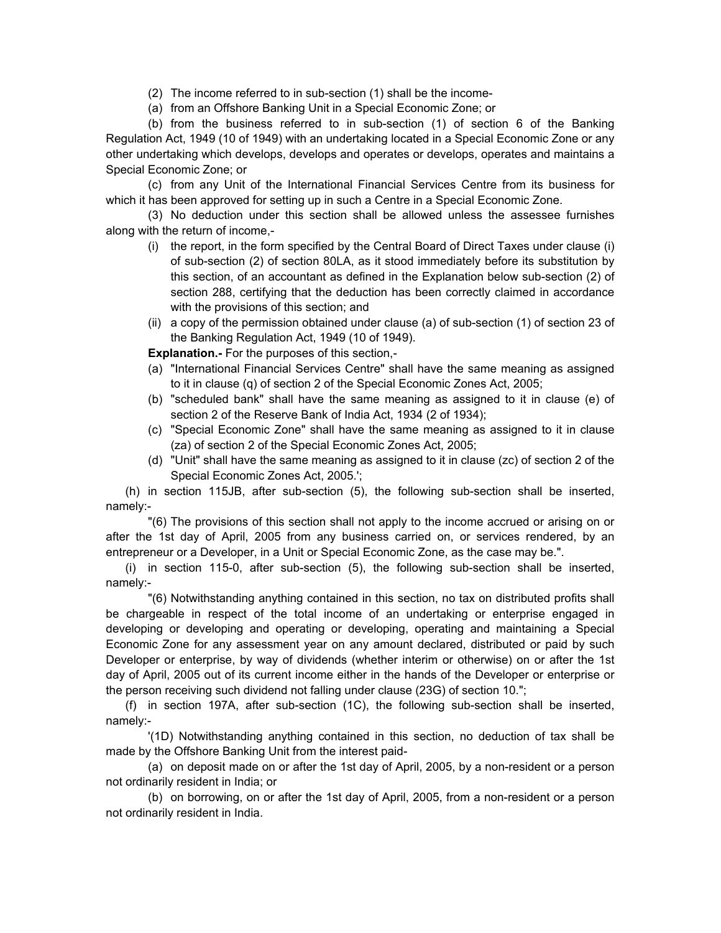- (2) The income referred to in sub-section (1) shall be the income-
- (a) from an Offshore Banking Unit in a Special Economic Zone; or

(b) from the business referred to in sub-section (1) of section 6 of the Banking Regulation Act, 1949 (10 of 1949) with an undertaking located in a Special Economic Zone or any other undertaking which develops, develops and operates or develops, operates and maintains a Special Economic Zone; or

(c) from any Unit of the International Financial Services Centre from its business for which it has been approved for setting up in such a Centre in a Special Economic Zone.

(3) No deduction under this section shall be allowed unless the assessee furnishes along with the return of income,-

- (i) the report, in the form specified by the Central Board of Direct Taxes under clause (i) of sub-section (2) of section 80LA, as it stood immediately before its substitution by this section, of an accountant as defined in the Explanation below sub-section (2) of section 288, certifying that the deduction has been correctly claimed in accordance with the provisions of this section; and
- (ii) a copy of the permission obtained under clause (a) of sub-section (1) of section 23 of the Banking Regulation Act, 1949 (10 of 1949).

**Explanation.-** For the purposes of this section,-

- (a) "International Financial Services Centre" shall have the same meaning as assigned to it in clause (q) of section 2 of the Special Economic Zones Act, 2005;
- (b) "scheduled bank" shall have the same meaning as assigned to it in clause (e) of section 2 of the Reserve Bank of India Act, 1934 (2 of 1934);
- (c) "Special Economic Zone" shall have the same meaning as assigned to it in clause (za) of section 2 of the Special Economic Zones Act, 2005;
- (d) "Unit" shall have the same meaning as assigned to it in clause (zc) of section 2 of the Special Economic Zones Act, 2005.';

(h) in section 115JB, after sub-section (5), the following sub-section shall be inserted, namely:-

"(6) The provisions of this section shall not apply to the income accrued or arising on or after the 1st day of April, 2005 from any business carried on, or services rendered, by an entrepreneur or a Developer, in a Unit or Special Economic Zone, as the case may be.".

(i) in section 115-0, after sub-section (5), the following sub-section shall be inserted, namely:-

"(6) Notwithstanding anything contained in this section, no tax on distributed profits shall be chargeable in respect of the total income of an undertaking or enterprise engaged in developing or developing and operating or developing, operating and maintaining a Special Economic Zone for any assessment year on any amount declared, distributed or paid by such Developer or enterprise, by way of dividends (whether interim or otherwise) on or after the 1st day of April, 2005 out of its current income either in the hands of the Developer or enterprise or the person receiving such dividend not falling under clause (23G) of section 10.";

(f) in section 197A, after sub-section (1C), the following sub-section shall be inserted, namely:-

'(1D) Notwithstanding anything contained in this section, no deduction of tax shall be made by the Offshore Banking Unit from the interest paid-

(a) on deposit made on or after the 1st day of April, 2005, by a non-resident or a person not ordinarily resident in India; or

(b) on borrowing, on or after the 1st day of April, 2005, from a non-resident or a person not ordinarily resident in India.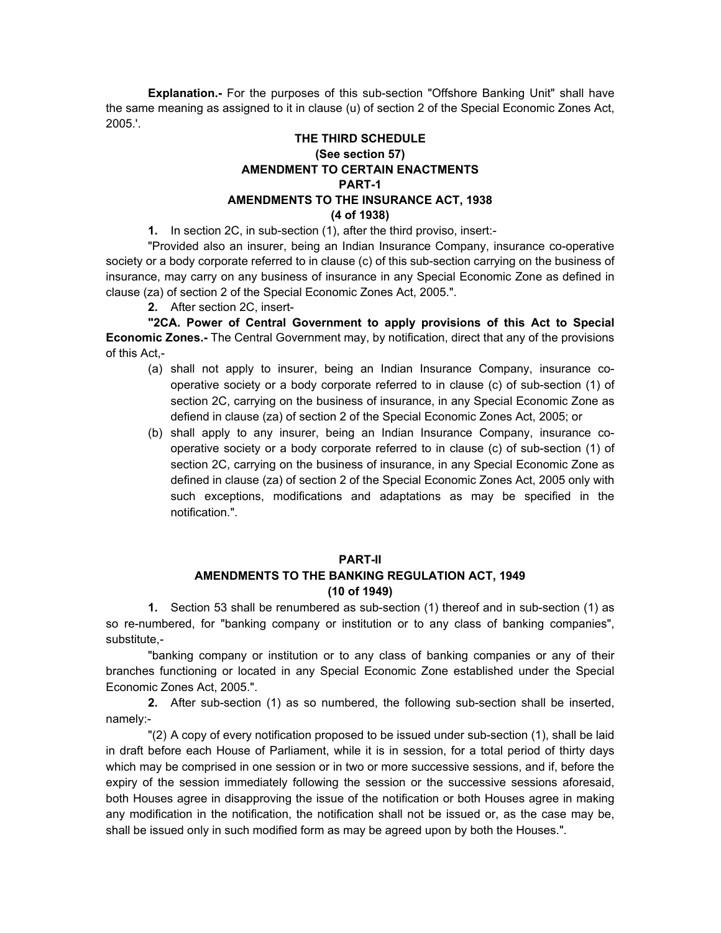**Explanation.-** For the purposes of this sub-section "Offshore Banking Unit" shall have the same meaning as assigned to it in clause (u) of section 2 of the Special Economic Zones Act, 2005.'.

## **THE THIRD SCHEDULE (See section 57) AMENDMENT TO CERTAIN ENACTMENTS PART-1 AMENDMENTS TO THE INSURANCE ACT, 1938 (4 of 1938)**

**1.** In section 2C, in sub-section (1), after the third proviso, insert:-

"Provided also an insurer, being an Indian Insurance Company, insurance co-operative society or a body corporate referred to in clause (c) of this sub-section carrying on the business of insurance, may carry on any business of insurance in any Special Economic Zone as defined in clause (za) of section 2 of the Special Economic Zones Act, 2005.".

**2.** After section 2C, insert-

**"2CA. Power of Central Government to apply provisions of this Act to Special Economic Zones.-** The Central Government may, by notification, direct that any of the provisions of this Act,-

- (a) shall not apply to insurer, being an Indian Insurance Company, insurance cooperative society or a body corporate referred to in clause (c) of sub-section (1) of section 2C, carrying on the business of insurance, in any Special Economic Zone as defiend in clause (za) of section 2 of the Special Economic Zones Act, 2005; or
- (b) shall apply to any insurer, being an Indian Insurance Company, insurance cooperative society or a body corporate referred to in clause (c) of sub-section (1) of section 2C, carrying on the business of insurance, in any Special Economic Zone as defined in clause (za) of section 2 of the Special Economic Zones Act, 2005 only with such exceptions, modifications and adaptations as may be specified in the notification.".

#### **PART-II**

## **AMENDMENTS TO THE BANKING REGULATION ACT, 1949 (10 of 1949)**

**1.** Section 53 shall be renumbered as sub-section (1) thereof and in sub-section (1) as so re-numbered, for "banking company or institution or to any class of banking companies", substitute,-

"banking company or institution or to any class of banking companies or any of their branches functioning or located in any Special Economic Zone established under the Special Economic Zones Act, 2005.".

**2.** After sub-section (1) as so numbered, the following sub-section shall be inserted, namely:-

"(2) A copy of every notification proposed to be issued under sub-section (1), shall be laid in draft before each House of Parliament, while it is in session, for a total period of thirty days which may be comprised in one session or in two or more successive sessions, and if, before the expiry of the session immediately following the session or the successive sessions aforesaid, both Houses agree in disapproving the issue of the notification or both Houses agree in making any modification in the notification, the notification shall not be issued or, as the case may be, shall be issued only in such modified form as may be agreed upon by both the Houses.".